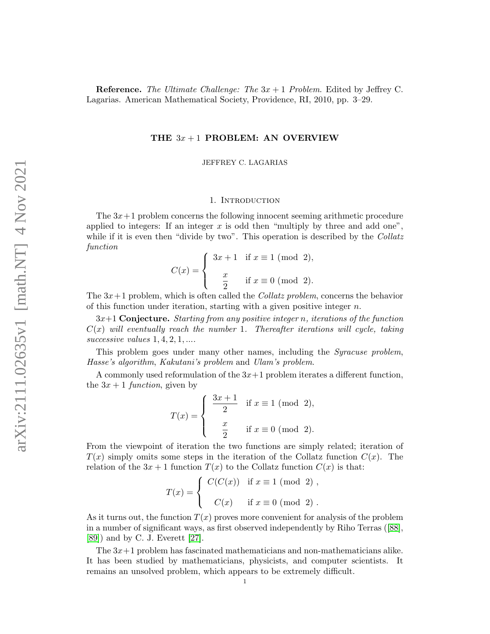**Reference.** The Ultimate Challenge: The  $3x + 1$  Problem. Edited by Jeffrey C. Lagarias. American Mathematical Society, Providence, RI, 2010, pp. 3–29.

# THE  $3x + 1$  PROBLEM: AN OVERVIEW

JEFFREY C. LAGARIAS

## 1. INTRODUCTION

The  $3x+1$  problem concerns the following innocent seeming arithmetic procedure applied to integers: If an integer  $x$  is odd then "multiply by three and add one", while if it is even then "divide by two". This operation is described by the Collatz function

$$
C(x) = \begin{cases} 3x + 1 & \text{if } x \equiv 1 \pmod{2}, \\ \frac{x}{2} & \text{if } x \equiv 0 \pmod{2}. \end{cases}
$$

The  $3x+1$  problem, which is often called the *Collatz problem*, concerns the behavior of this function under iteration, starting with a given positive integer  $n$ .

 $3x+1$  Conjecture. Starting from any positive integer n, iterations of the function  $C(x)$  will eventually reach the number 1. Thereafter iterations will cycle, taking successive values  $1, 4, 2, 1, \ldots$ 

This problem goes under many other names, including the *Syracuse problem*, Hasse's algorithm, Kakutani's problem and Ulam's problem.

A commonly used reformulation of the  $3x+1$  problem iterates a different function, the  $3x + 1$  function, given by

$$
T(x) = \begin{cases} \frac{3x+1}{2} & \text{if } x \equiv 1 \pmod{2}, \\ \frac{x}{2} & \text{if } x \equiv 0 \pmod{2}. \end{cases}
$$

From the viewpoint of iteration the two functions are simply related; iteration of  $T(x)$  simply omits some steps in the iteration of the Collatz function  $C(x)$ . The relation of the  $3x + 1$  function  $T(x)$  to the Collatz function  $C(x)$  is that:

$$
T(x) = \begin{cases} C(C(x)) & \text{if } x \equiv 1 \pmod{2} , \\ C(x) & \text{if } x \equiv 0 \pmod{2} . \end{cases}
$$

As it turns out, the function  $T(x)$  proves more convenient for analysis of the problem in a number of significant ways, as first observed independently by Riho Terras ([\[88\]](#page-26-0), [\[89\]](#page-26-1)) and by C. J. Everett [\[27\]](#page-24-0).

The  $3x+1$  problem has fascinated mathematicians and non-mathematicians alike. It has been studied by mathematicians, physicists, and computer scientists. It remains an unsolved problem, which appears to be extremely difficult.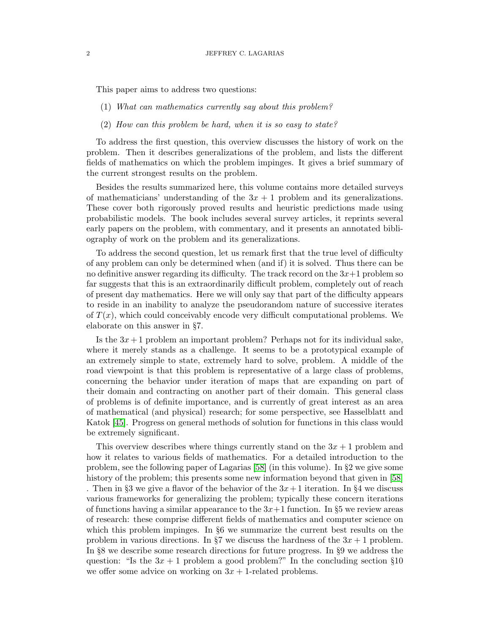This paper aims to address two questions:

- (1) What can mathematics currently say about this problem?
- (2) How can this problem be hard, when it is so easy to state?

To address the first question, this overview discusses the history of work on the problem. Then it describes generalizations of the problem, and lists the different fields of mathematics on which the problem impinges. It gives a brief summary of the current strongest results on the problem.

Besides the results summarized here, this volume contains more detailed surveys of mathematicians' understanding of the  $3x + 1$  problem and its generalizations. These cover both rigorously proved results and heuristic predictions made using probabilistic models. The book includes several survey articles, it reprints several early papers on the problem, with commentary, and it presents an annotated bibliography of work on the problem and its generalizations.

To address the second question, let us remark first that the true level of difficulty of any problem can only be determined when (and if) it is solved. Thus there can be no definitive answer regarding its difficulty. The track record on the  $3x+1$  problem so far suggests that this is an extraordinarily difficult problem, completely out of reach of present day mathematics. Here we will only say that part of the difficulty appears to reside in an inability to analyze the pseudorandom nature of successive iterates of  $T(x)$ , which could conceivably encode very difficult computational problems. We elaborate on this answer in §7.

Is the  $3x + 1$  problem an important problem? Perhaps not for its individual sake, where it merely stands as a challenge. It seems to be a prototypical example of an extremely simple to state, extremely hard to solve, problem. A middle of the road viewpoint is that this problem is representative of a large class of problems, concerning the behavior under iteration of maps that are expanding on part of their domain and contracting on another part of their domain. This general class of problems is of definite importance, and is currently of great interest as an area of mathematical (and physical) research; for some perspective, see Hasselblatt and Katok [\[45\]](#page-24-1). Progress on general methods of solution for functions in this class would be extremely significant.

This overview describes where things currently stand on the  $3x + 1$  problem and how it relates to various fields of mathematics. For a detailed introduction to the problem, see the following paper of Lagarias [\[58\]](#page-25-0) (in this volume). In §2 we give some history of the problem; this presents some new information beyond that given in [\[58\]](#page-25-0) . Then in §3 we give a flavor of the behavior of the  $3x+1$  iteration. In §4 we discuss various frameworks for generalizing the problem; typically these concern iterations of functions having a similar appearance to the  $3x+1$  function. In §5 we review areas of research: these comprise different fields of mathematics and computer science on which this problem impinges. In §6 we summarize the current best results on the problem in various directions. In §7 we discuss the hardness of the  $3x + 1$  problem. In §8 we describe some research directions for future progress. In §9 we address the question: "Is the  $3x + 1$  problem a good problem?" In the concluding section §10 we offer some advice on working on  $3x + 1$ -related problems.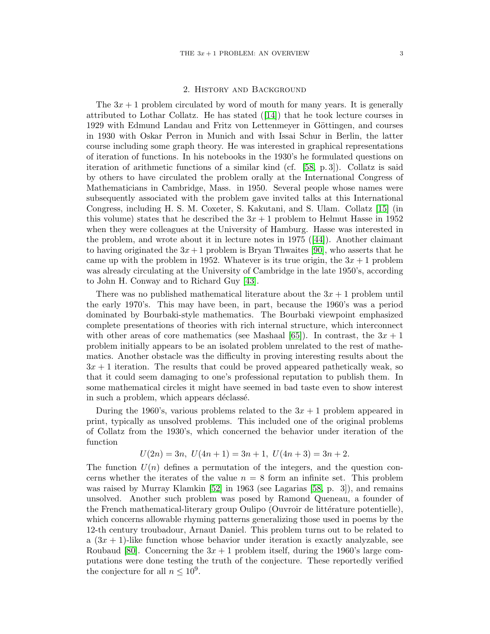# 2. History and Background

The  $3x + 1$  problem circulated by word of mouth for many years. It is generally attributed to Lothar Collatz. He has stated ([\[14\]](#page-23-0)) that he took lecture courses in 1929 with Edmund Landau and Fritz von Lettenmeyer in Göttingen, and courses in 1930 with Oskar Perron in Munich and with Issai Schur in Berlin, the latter course including some graph theory. He was interested in graphical representations of iteration of functions. In his notebooks in the 1930's he formulated questions on iteration of arithmetic functions of a similar kind (cf. [\[58,](#page-25-0) p. 3]). Collatz is said by others to have circulated the problem orally at the International Congress of Mathematicians in Cambridge, Mass. in 1950. Several people whose names were subsequently associated with the problem gave invited talks at this International Congress, including H. S. M. Coxeter, S. Kakutani, and S. Ulam. Collatz [\[15\]](#page-23-1) (in this volume) states that he described the  $3x + 1$  problem to Helmut Hasse in 1952 when they were colleagues at the University of Hamburg. Hasse was interested in the problem, and wrote about it in lecture notes in 1975 ([\[44\]](#page-24-2)). Another claimant to having originated the  $3x+1$  problem is Bryan Thwaites [\[90\]](#page-26-2), who asserts that he came up with the problem in 1952. Whatever is its true origin, the  $3x + 1$  problem was already circulating at the University of Cambridge in the late 1950's, according to John H. Conway and to Richard Guy [\[43\]](#page-24-3).

There was no published mathematical literature about the  $3x + 1$  problem until the early 1970's. This may have been, in part, because the 1960's was a period dominated by Bourbaki-style mathematics. The Bourbaki viewpoint emphasized complete presentations of theories with rich internal structure, which interconnect with other areas of core mathematics (see Mashaal [\[65\]](#page-25-1)). In contrast, the  $3x + 1$ problem initially appears to be an isolated problem unrelated to the rest of mathematics. Another obstacle was the difficulty in proving interesting results about the  $3x + 1$  iteration. The results that could be proved appeared pathetically weak, so that it could seem damaging to one's professional reputation to publish them. In some mathematical circles it might have seemed in bad taste even to show interest in such a problem, which appears déclassé.

During the 1960's, various problems related to the  $3x + 1$  problem appeared in print, typically as unsolved problems. This included one of the original problems of Collatz from the 1930's, which concerned the behavior under iteration of the function

$$
U(2n) = 3n, U(4n + 1) = 3n + 1, U(4n + 3) = 3n + 2.
$$

The function  $U(n)$  defines a permutation of the integers, and the question concerns whether the iterates of the value  $n = 8$  form an infinite set. This problem was raised by Murray Klamkin [\[52\]](#page-25-2) in 1963 (see Lagarias [\[58,](#page-25-0) p. 3]), and remains unsolved. Another such problem was posed by Ramond Queneau, a founder of the French mathematical-literary group Oulipo (Ouvroir de littérature potentielle), which concerns allowable rhyming patterns generalizing those used in poems by the 12-th century troubadour, Arnaut Daniel. This problem turns out to be related to a  $(3x + 1)$ -like function whose behavior under iteration is exactly analyzable, see Roubaud [\[80\]](#page-26-3). Concerning the  $3x + 1$  problem itself, during the 1960's large computations were done testing the truth of the conjecture. These reportedly verified the conjecture for all  $n \leq 10^9$ .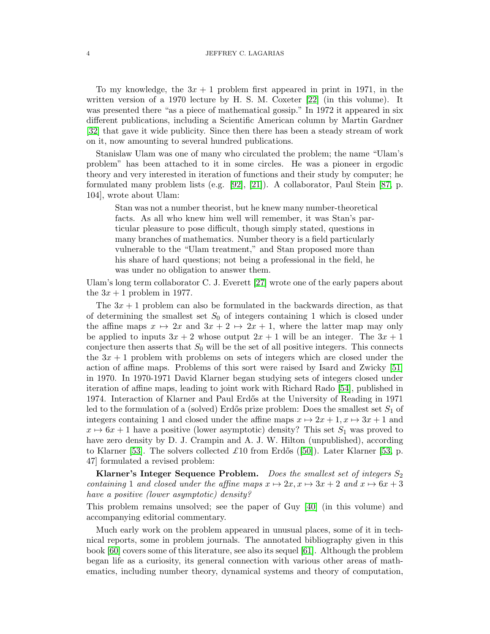To my knowledge, the  $3x + 1$  problem first appeared in print in 1971, in the written version of a 1970 lecture by H. S. M. Coxeter [\[22\]](#page-24-4) (in this volume). It was presented there "as a piece of mathematical gossip." In 1972 it appeared in six different publications, including a Scientific American column by Martin Gardner [\[32\]](#page-24-5) that gave it wide publicity. Since then there has been a steady stream of work on it, now amounting to several hundred publications.

Stanislaw Ulam was one of many who circulated the problem; the name "Ulam's problem" has been attached to it in some circles. He was a pioneer in ergodic theory and very interested in iteration of functions and their study by computer; he formulated many problem lists (e.g. [\[92\]](#page-26-4), [\[21\]](#page-23-2)). A collaborator, Paul Stein [\[87,](#page-26-5) p. 104], wrote about Ulam:

Stan was not a number theorist, but he knew many number-theoretical facts. As all who knew him well will remember, it was Stan's particular pleasure to pose difficult, though simply stated, questions in many branches of mathematics. Number theory is a field particularly vulnerable to the "Ulam treatment," and Stan proposed more than his share of hard questions; not being a professional in the field, he was under no obligation to answer them.

Ulam's long term collaborator C. J. Everett [\[27\]](#page-24-0) wrote one of the early papers about the  $3x + 1$  problem in 1977.

The  $3x + 1$  problem can also be formulated in the backwards direction, as that of determining the smallest set  $S_0$  of integers containing 1 which is closed under the affine maps  $x \mapsto 2x$  and  $3x + 2 \mapsto 2x + 1$ , where the latter map may only be applied to inputs  $3x + 2$  whose output  $2x + 1$  will be an integer. The  $3x + 1$ conjecture then asserts that  $S_0$  will be the set of all positive integers. This connects the  $3x + 1$  problem with problems on sets of integers which are closed under the action of affine maps. Problems of this sort were raised by Isard and Zwicky [\[51\]](#page-25-3) in 1970. In 1970-1971 David Klarner began studying sets of integers closed under iteration of affine maps, leading to joint work with Richard Rado [\[54\]](#page-25-4), published in 1974. Interaction of Klarner and Paul Erd˝os at the University of Reading in 1971 led to the formulation of a (solved) Erdős prize problem: Does the smallest set  $S_1$  of integers containing 1 and closed under the affine maps  $x \mapsto 2x + 1, x \mapsto 3x + 1$  and  $x \mapsto 6x + 1$  have a positive (lower asymptotic) density? This set  $S_1$  was proved to have zero density by D. J. Crampin and A. J. W. Hilton (unpublished), according to Klarner [\[53\]](#page-25-5). The solvers collected £10 from Erdős ([\[50\]](#page-25-6)). Later Klarner [\[53,](#page-25-5) p. 47] formulated a revised problem:

Klarner's Integer Sequence Problem. Does the smallest set of integers  $S_2$ containing 1 and closed under the affine maps  $x \mapsto 2x, x \mapsto 3x + 2$  and  $x \mapsto 6x + 3$ have a positive (lower asymptotic) density?

This problem remains unsolved; see the paper of Guy [\[40\]](#page-24-6) (in this volume) and accompanying editorial commentary.

Much early work on the problem appeared in unusual places, some of it in technical reports, some in problem journals. The annotated bibliography given in this book [\[60\]](#page-25-7) covers some of this literature, see also its sequel [\[61\]](#page-25-8). Although the problem began life as a curiosity, its general connection with various other areas of mathematics, including number theory, dynamical systems and theory of computation,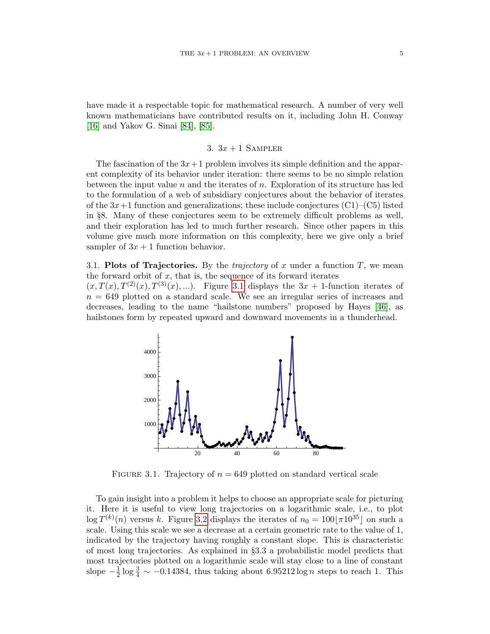have made it a respectable topic for mathematical research. A number of very well

#### 3.  $3x + 1$  SAMPLER

known mathematicians have contributed results on it, including John H. Conway

[\[16\]](#page-23-3) and Yakov G. Sinai [\[84\]](#page-26-6), [\[85\]](#page-26-7).

The fascination of the  $3x+1$  problem involves its simple definition and the apparent complexity of its behavior under iteration: there seems to be no simple relation between the input value  $n$  and the iterates of  $n$ . Exploration of its structure has led to the formulation of a web of subsidiary conjectures about the behavior of iterates of the  $3x+1$  function and generalizations; these include conjectures  $(C1)$ – $(C5)$  listed in §8. Many of these conjectures seem to be extremely difficult problems as well, and their exploration has led to much further research. Since other papers in this volume give much more information on this complexity, here we give only a brief sampler of  $3x + 1$  function behavior.

3.1. Plots of Trajectories. By the *trajectory* of x under a function  $T$ , we mean the forward orbit of  $x$ , that is, the sequence of its forward iterates  $(x, T(x), T^{(2)}(x), T^{(3)}(x), ...)$ . Figure [3.1](#page-4-0) displays the  $3x + 1$ -function iterates of  $n = 649$  plotted on a standard scale. We see an irregular series of increases and decreases, leading to the name "hailstone numbers" proposed by Hayes [\[46\]](#page-24-7), as hailstones form by repeated upward and downward movements in a thunderhead.



<span id="page-4-0"></span>FIGURE 3.1. Trajectory of  $n = 649$  plotted on standard vertical scale

To gain insight into a problem it helps to choose an appropriate scale for picturing it. Here it is useful to view long trajectories on a logarithmic scale, i.e., to plot  $\log T^{(k)}(n)$  versus k. Figure [3.2](#page-5-0) displays the iterates of  $n_0 = 100\lfloor \pi 10^{35} \rfloor$  on such a scale. Using this scale we see a decrease at a certain geometric rate to the value of 1, indicated by the trajectory having roughly a constant slope. This is characteristic of most long trajectories. As explained in §3.3 a probabilistic model predicts that most trajectories plotted on a logarithmic scale will stay close to a line of constant slope  $-\frac{1}{2}$  $\frac{1}{2}$  log  $\frac{3}{4} \sim -0.14384$ , thus taking about 6.95212 log *n* steps to reach 1. This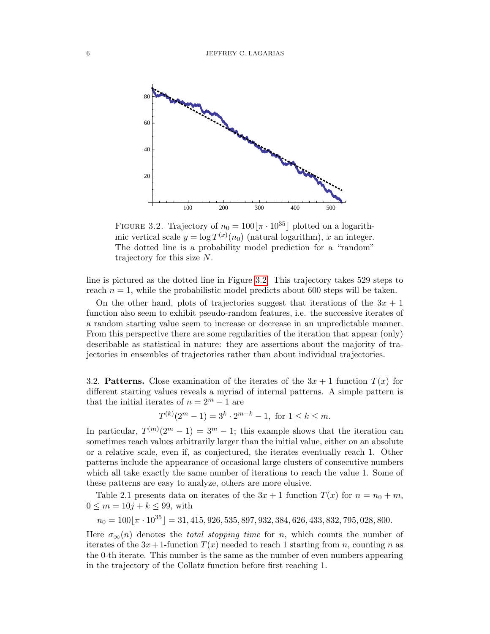

<span id="page-5-0"></span>FIGURE 3.2. Trajectory of  $n_0 = 100\pi \cdot 10^{35}$  plotted on a logarithmic vertical scale  $y = \log T^{(x)}(n_0)$  (natural logarithm), x an integer. The dotted line is a probability model prediction for a "random" trajectory for this size N.

line is pictured as the dotted line in Figure [3.2.](#page-5-0) This trajectory takes 529 steps to reach  $n = 1$ , while the probabilistic model predicts about 600 steps will be taken.

On the other hand, plots of trajectories suggest that iterations of the  $3x + 1$ function also seem to exhibit pseudo-random features, i.e. the successive iterates of a random starting value seem to increase or decrease in an unpredictable manner. From this perspective there are some regularities of the iteration that appear (only) describable as statistical in nature: they are assertions about the majority of trajectories in ensembles of trajectories rather than about individual trajectories.

3.2. **Patterns.** Close examination of the iterates of the  $3x + 1$  function  $T(x)$  for different starting values reveals a myriad of internal patterns. A simple pattern is that the initial iterates of  $n = 2^m - 1$  are

$$
T^{(k)}(2^m - 1) = 3^k \cdot 2^{m-k} - 1, \text{ for } 1 \le k \le m.
$$

In particular,  $T^{(m)}(2^m-1) = 3^m - 1$ ; this example shows that the iteration can sometimes reach values arbitrarily larger than the initial value, either on an absolute or a relative scale, even if, as conjectured, the iterates eventually reach 1. Other patterns include the appearance of occasional large clusters of consecutive numbers which all take exactly the same number of iterations to reach the value 1. Some of these patterns are easy to analyze, others are more elusive.

Table 2.1 presents data on iterates of the  $3x + 1$  function  $T(x)$  for  $n = n_0 + m$ ,  $0 \le m = 10j + k \le 99$ , with

 $n_0 = 100\vert \pi \cdot 10^{35} \vert = 31,415,926,535,897,932,384,626,433,832,795,028,800.$ 

Here  $\sigma_{\infty}(n)$  denotes the *total stopping time* for *n*, which counts the number of iterates of the  $3x+1$ -function  $T(x)$  needed to reach 1 starting from n, counting n as the 0-th iterate. This number is the same as the number of even numbers appearing in the trajectory of the Collatz function before first reaching 1.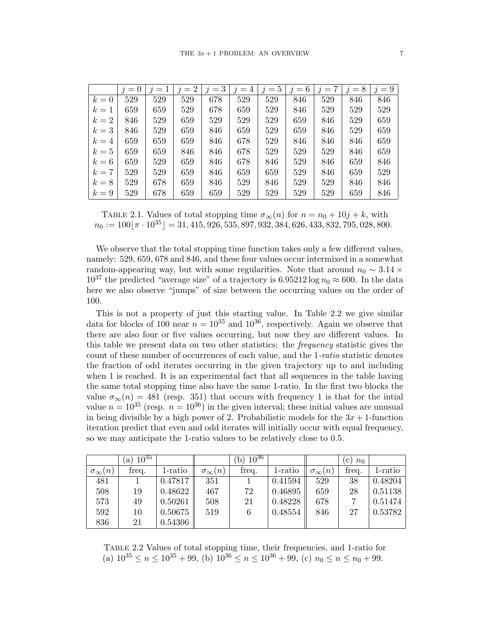|       | $= 0$ |     | $=2$ | $=$ 3 | $=4$ | $= 5$ | 6<br>$=$ | $=$ | $= 8$ | $=9$ |
|-------|-------|-----|------|-------|------|-------|----------|-----|-------|------|
| $k=0$ | 529   | 529 | 529  | 678   | 529  | 529   | 846      | 529 | 846   | 846  |
| $k=1$ | 659   | 659 | 529  | 678   | 659  | 529   | 846      | 529 | 529   | 529  |
| $k=2$ | 846   | 529 | 659  | 529   | 529  | 529   | 659      | 846 | 529   | 659  |
| $k=3$ | 846   | 529 | 659  | 846   | 659  | 529   | 659      | 846 | 529   | 659  |
| $k=4$ | 659   | 659 | 659  | 846   | 678  | 529   | 846      | 846 | 846   | 659  |
| $k=5$ | 659   | 659 | 846  | 846   | 678  | 529   | 529      | 529 | 846   | 659  |
| $k=6$ | 659   | 529 | 659  | 846   | 678  | 846   | 529      | 846 | 659   | 846  |
| $k=7$ | 529   | 529 | 659  | 846   | 659  | 659   | 529      | 846 | 659   | 529  |
| $k=8$ | 529   | 678 | 659  | 846   | 529  | 846   | 529      | 529 | 846   | 846  |
| $k=9$ | 529   | 678 | 659  | 659   | 529  | 529   | 529      | 529 | 659   | 846  |

TABLE 2.1. Values of total stopping time  $\sigma_{\infty}(n)$  for  $n = n_0 + 10j + k$ , with  $n_0 := 100[\pi \cdot 10^{35}] = 31,415,926,535,897,932,384,626,433,832,795,028,800.$ 

We observe that the total stopping time function takes only a few different values, namely: 529, 659, 678 and 846, and these four values occur intermixed in a somewhat random-appearing way, but with some regularities. Note that around  $n_0 \sim 3.14 \times$  $10^{37}$  the predicted "average size" of a trajectory is 6.95212 log  $n_0 \approx 600$ . In the data here we also observe "jumps" of size between the occurring values on the order of 100.

This is not a property of just this starting value. In Table 2.2 we give similar data for blocks of 100 near  $n = 10^{35}$  and  $10^{36}$ , respectively. Again we observe that there are also four or five values occurring, but now they are different values. In this table we present data on two other statistics: the frequency statistic gives the count of these number of occurrences of each value, and the 1-ratio statistic denotes the fraction of odd iterates occurring in the given trajectory up to and including when 1 is reached. It is an experimental fact that all sequences in the table having the same total stopping time also have the same 1-ratio. In the first two blocks the value  $\sigma_{\infty}(n) = 481$  (resp. 351) that occurs with frequency 1 is that for the intial value  $n = 10^{35}$  (resp.  $n = 10^{36}$ ) in the given interval; these initial values are unusual in being divisible by a high power of 2. Probabilistic models for the  $3x + 1$ -function iteration predict that even and odd iterates will initially occur with equal frequency, so we may anticipate the 1-ratio values to be relatively close to 0.5.

|                      | $10^{35}$<br>a) |         |                      | $10^{36}$<br>b) |         |                      | $\mathbf{C}$<br>$n_0$ |         |
|----------------------|-----------------|---------|----------------------|-----------------|---------|----------------------|-----------------------|---------|
| $\sigma_{\infty}(n)$ | treq.           | 1-ratio | $\sigma_{\infty}(n)$ | treg.           | 1-ratio | $\sigma_{\infty}(n)$ | freq.                 | 1-ratio |
| 481                  |                 | 0.47817 | 351                  |                 | 0.41594 | 529                  | 38                    | 0.48204 |
| 508                  | 19              | 0.48622 | 467                  | 72              | 0.46895 | 659                  | 28                    | 0.51138 |
| 573                  | 49              | 0.50261 | 508                  | 21              | 0.48228 | 678                  |                       | 0.51474 |
| 592                  | 10              | 0.50675 | 519                  | 6               | 0.48554 | 846                  | 27                    | 0.53782 |
| 836                  | 21              | 0.54306 |                      |                 |         |                      |                       |         |

Table 2.2 Values of total stopping time, their frequencies, and 1-ratio for (a)  $10^{35} \le n \le 10^{35} + 99$ , (b)  $10^{36} \le n \le 10^{36} + 99$ , (c)  $n_0 \le n \le n_0 + 99$ .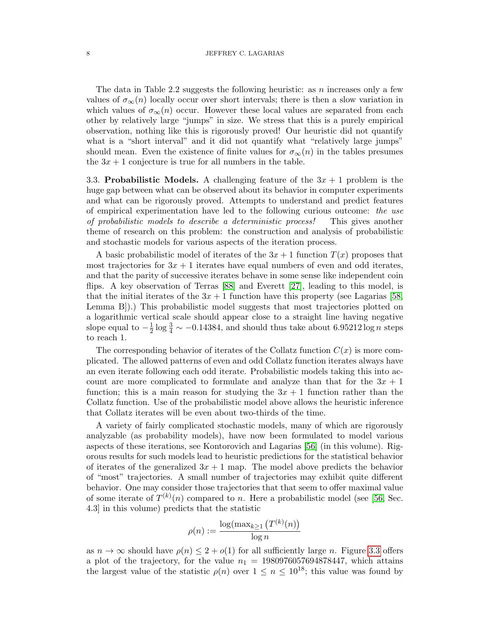The data in Table 2.2 suggests the following heuristic: as n increases only a few values of  $\sigma_{\infty}(n)$  locally occur over short intervals; there is then a slow variation in which values of  $\sigma_{\infty}(n)$  occur. However these local values are separated from each other by relatively large "jumps" in size. We stress that this is a purely empirical observation, nothing like this is rigorously proved! Our heuristic did not quantify what is a "short interval" and it did not quantify what "relatively large jumps" should mean. Even the existence of finite values for  $\sigma_{\infty}(n)$  in the tables presumes the  $3x + 1$  conjecture is true for all numbers in the table.

<span id="page-7-0"></span>3.3. Probabilistic Models. A challenging feature of the  $3x + 1$  problem is the huge gap between what can be observed about its behavior in computer experiments and what can be rigorously proved. Attempts to understand and predict features of empirical experimentation have led to the following curious outcome: the use of probabilistic models to describe a deterministic process! This gives another theme of research on this problem: the construction and analysis of probabilistic and stochastic models for various aspects of the iteration process.

A basic probabilistic model of iterates of the  $3x + 1$  function  $T(x)$  proposes that most trajectories for  $3x + 1$  iterates have equal numbers of even and odd iterates, and that the parity of successive iterates behave in some sense like independent coin flips. A key observation of Terras [\[88\]](#page-26-0) and Everett [\[27\]](#page-24-0), leading to this model, is that the initial iterates of the  $3x + 1$  function have this property (see Lagarias [\[58,](#page-25-0) Lemma B]).) This probabilistic model suggests that most trajectories plotted on a logarithmic vertical scale should appear close to a straight line having negative slope equal to  $-\frac{1}{2}$  $\frac{1}{2}$  log  $\frac{3}{4}$  ~ -0.14384, and should thus take about 6.95212 log *n* steps to reach 1.

The corresponding behavior of iterates of the Collatz function  $C(x)$  is more complicated. The allowed patterns of even and odd Collatz function iterates always have an even iterate following each odd iterate. Probabilistic models taking this into account are more complicated to formulate and analyze than that for the  $3x + 1$ function; this is a main reason for studying the  $3x + 1$  function rather than the Collatz function. Use of the probabilistic model above allows the heuristic inference that Collatz iterates will be even about two-thirds of the time.

A variety of fairly complicated stochastic models, many of which are rigorously analyzable (as probability models), have now been formulated to model various aspects of these iterations, see Kontorovich and Lagarias [\[56\]](#page-25-9) (in this volume). Rigorous results for such models lead to heuristic predictions for the statistical behavior of iterates of the generalized  $3x + 1$  map. The model above predicts the behavior of "most" trajectories. A small number of trajectories may exhibit quite different behavior. One may consider those trajectories that that seem to offer maximal value of some iterate of  $T^{(k)}(n)$  compared to n. Here a probabilistic model (see [\[56,](#page-25-9) Sec. 4.3] in this volume) predicts that the statistic

$$
\rho(n) := \frac{\log(\max_{k \ge 1} (T^{(k)}(n))}{\log n}
$$

as  $n \to \infty$  should have  $\rho(n) \leq 2 + o(1)$  for all sufficiently large n. Figure [3.3](#page-7-0) offers a plot of the trajectory, for the value  $n_1 = 1980976057694878447$ , which attains the largest value of the statistic  $\rho(n)$  over  $1 \leq n \leq 10^{18}$ ; this value was found by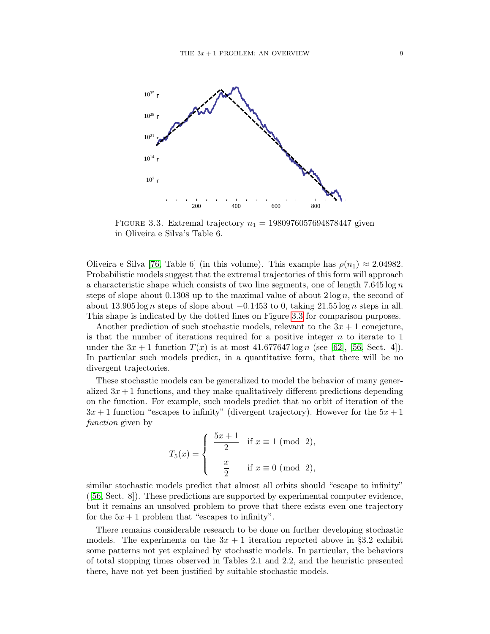

FIGURE 3.3. Extremal trajectory  $n_1 = 1980976057694878447$  given in Oliveira e Silva's Table 6.

Oliveira e Silva [\[76,](#page-26-8) Table 6] (in this volume). This example has  $\rho(n_1) \approx 2.04982$ . Probabilistic models suggest that the extremal trajectories of this form will approach a characteristic shape which consists of two line segments, one of length  $7.645 \log n$ steps of slope about 0.1308 up to the maximal value of about  $2 \log n$ , the second of about 13.905 log n steps of slope about  $-0.1453$  to 0, taking 21.55 log n steps in all. This shape is indicated by the dotted lines on Figure [3.3](#page-7-0) for comparison purposes.

Another prediction of such stochastic models, relevant to the  $3x + 1$  conejcture, is that the number of iterations required for a positive integer  $n$  to iterate to 1 under the  $3x + 1$  function  $T(x)$  is at most  $41.677647 \log n$  (see [\[62\]](#page-25-10), [\[56,](#page-25-9) Sect. 4]). In particular such models predict, in a quantitative form, that there will be no divergent trajectories.

These stochastic models can be generalized to model the behavior of many generalized  $3x + 1$  functions, and they make qualitatively different predictions depending on the function. For example, such models predict that no orbit of iteration of the  $3x + 1$  function "escapes to infinity" (divergent trajectory). However for the  $5x + 1$ function given by

$$
T_5(x) = \begin{cases} \frac{5x+1}{2} & \text{if } x \equiv 1 \pmod{2}, \\ \frac{x}{2} & \text{if } x \equiv 0 \pmod{2}, \end{cases}
$$

similar stochastic models predict that almost all orbits should "escape to infinity" ([\[56,](#page-25-9) Sect. 8]). These predictions are supported by experimental computer evidence, but it remains an unsolved problem to prove that there exists even one trajectory for the  $5x + 1$  problem that "escapes to infinity".

There remains considerable research to be done on further developing stochastic models. The experiments on the  $3x + 1$  iteration reported above in §3.2 exhibit some patterns not yet explained by stochastic models. In particular, the behaviors of total stopping times observed in Tables 2.1 and 2.2, and the heuristic presented there, have not yet been justified by suitable stochastic models.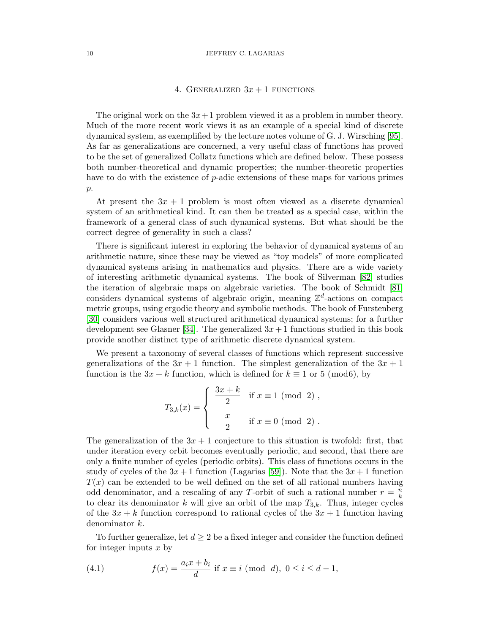#### 10 JEFFREY C. LAGARIAS

#### 4. GENERALIZED  $3x + 1$  functions

The original work on the  $3x+1$  problem viewed it as a problem in number theory. Much of the more recent work views it as an example of a special kind of discrete dynamical system, as exemplified by the lecture notes volume of G. J. Wirsching [\[95\]](#page-26-9). As far as generalizations are concerned, a very useful class of functions has proved to be the set of generalized Collatz functions which are defined below. These possess both number-theoretical and dynamic properties; the number-theoretic properties have to do with the existence of p-adic extensions of these maps for various primes  $p$ .

At present the  $3x + 1$  problem is most often viewed as a discrete dynamical system of an arithmetical kind. It can then be treated as a special case, within the framework of a general class of such dynamical systems. But what should be the correct degree of generality in such a class?

There is significant interest in exploring the behavior of dynamical systems of an arithmetic nature, since these may be viewed as "toy models" of more complicated dynamical systems arising in mathematics and physics. There are a wide variety of interesting arithmetic dynamical systems. The book of Silverman [\[82\]](#page-26-10) studies the iteration of algebraic maps on algebraic varieties. The book of Schmidt [\[81\]](#page-26-11) considers dynamical systems of algebraic origin, meaning  $\mathbb{Z}^d$ -actions on compact metric groups, using ergodic theory and symbolic methods. The book of Furstenberg [\[30\]](#page-24-8) considers various well structured arithmetical dynamical systems; for a further development see Glasner [\[34\]](#page-24-9). The generalized  $3x+1$  functions studied in this book provide another distinct type of arithmetic discrete dynamical system.

We present a taxonomy of several classes of functions which represent successive generalizations of the  $3x + 1$  function. The simplest generalization of the  $3x + 1$ function is the  $3x + k$  function, which is defined for  $k \equiv 1$  or 5 (mod6), by

$$
T_{3,k}(x) = \begin{cases} \frac{3x+k}{2} & \text{if } x \equiv 1 \pmod{2} \\ x & \text{if } x \equiv 0 \pmod{2} \end{cases}
$$

The generalization of the  $3x + 1$  conjecture to this situation is twofold: first, that under iteration every orbit becomes eventually periodic, and second, that there are only a finite number of cycles (periodic orbits). This class of functions occurs in the study of cycles of the  $3x + 1$  function (Lagarias [\[59\]](#page-25-11)). Note that the  $3x + 1$  function  $T(x)$  can be extended to be well defined on the set of all rational numbers having odd denominator, and a rescaling of any T-orbit of such a rational number  $r = \frac{n}{k}$ k to clear its denominator k will give an orbit of the map  $T_{3,k}$ . Thus, integer cycles of the  $3x + k$  function correspond to rational cycles of the  $3x + 1$  function having denominator k.

To further generalize, let  $d \geq 2$  be a fixed integer and consider the function defined for integer inputs  $x$  by

(4.1) 
$$
f(x) = \frac{a_i x + b_i}{d} \text{ if } x \equiv i \pmod{d}, \ 0 \le i \le d - 1,
$$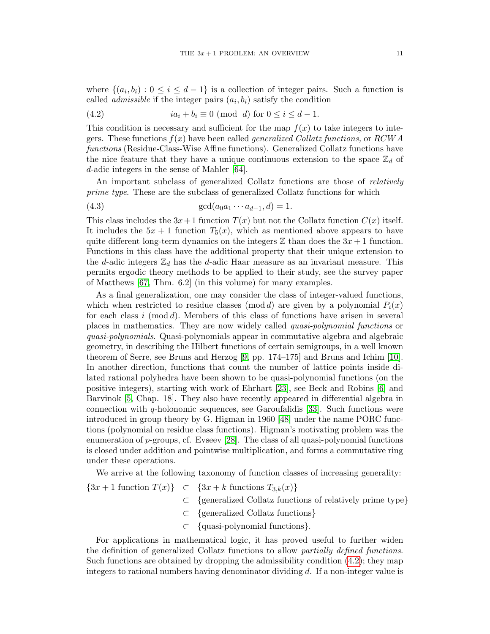where  $\{(a_i, b_i) : 0 \leq i \leq d-1\}$  is a collection of integer pairs. Such a function is called *admissible* if the integer pairs  $(a_i, b_i)$  satisfy the condition

<span id="page-10-0"></span>(4.2) 
$$
ia_i + b_i \equiv 0 \pmod{d} \text{ for } 0 \leq i \leq d - 1.
$$

This condition is necessary and sufficient for the map  $f(x)$  to take integers to integers. These functions  $f(x)$  have been called *generalized Collatz functions*, or RCWA functions (Residue-Class-Wise Affine functions). Generalized Collatz functions have the nice feature that they have a unique continuous extension to the space  $\mathbb{Z}_d$  of d-adic integers in the sense of Mahler [\[64\]](#page-25-12).

An important subclass of generalized Collatz functions are those of relatively prime type. These are the subclass of generalized Collatz functions for which

(4.3) 
$$
\gcd(a_0 a_1 \cdots a_{d-1}, d) = 1.
$$

This class includes the  $3x+1$  function  $T(x)$  but not the Collatz function  $C(x)$  itself. It includes the  $5x + 1$  function  $T_5(x)$ , which as mentioned above appears to have quite different long-term dynamics on the integers  $\mathbb Z$  than does the  $3x + 1$  function. Functions in this class have the additional property that their unique extension to the d-adic integers  $\mathbb{Z}_d$  has the d-adic Haar measure as an invariant measure. This permits ergodic theory methods to be applied to their study, see the survey paper of Matthews [\[67,](#page-25-13) Thm. 6.2] (in this volume) for many examples.

As a final generalization, one may consider the class of integer-valued functions, which when restricted to residue classes (mod d) are given by a polynomial  $P_i(x)$ for each class i (mod d). Members of this class of functions have arisen in several places in mathematics. They are now widely called quasi-polynomial functions or quasi-polynomials. Quasi-polynomials appear in commutative algebra and algebraic geometry, in describing the Hilbert functions of certain semigroups, in a well known theorem of Serre, see Bruns and Herzog [\[9,](#page-23-4) pp. 174–175] and Bruns and Ichim [\[10\]](#page-23-5). In another direction, functions that count the number of lattice points inside dilated rational polyhedra have been shown to be quasi-polynomial functions (on the positive integers), starting with work of Ehrhart [\[23\]](#page-24-10), see Beck and Robins [\[6\]](#page-23-6) and Barvinok [\[5,](#page-23-7) Chap. 18]. They also have recently appeared in differential algebra in connection with q-holonomic sequences, see Garoufalidis [\[33\]](#page-24-11). Such functions were introduced in group theory by G. Higman in 1960 [\[48\]](#page-24-12) under the name PORC functions (polynomial on residue class functions). Higman's motivating problem was the enumeration of  $p$ -groups, cf. Evseev [\[28\]](#page-24-13). The class of all quasi-polynomial functions is closed under addition and pointwise multiplication, and forms a commutative ring under these operations.

We arrive at the following taxonomy of function classes of increasing generality:

 ${3x + 1$  function  $T(x)$   $\subset$   ${3x + k}$  functions  $T_{3,k}(x)$ 

- ⊂ {generalized Collatz functions of relatively prime type}
- ⊂ {generalized Collatz functions}
- ⊂ {quasi-polynomial functions}.

For applications in mathematical logic, it has proved useful to further widen the definition of generalized Collatz functions to allow partially defined functions. Such functions are obtained by dropping the admissibility condition  $(4.2)$ ; they map integers to rational numbers having denominator dividing d. If a non-integer value is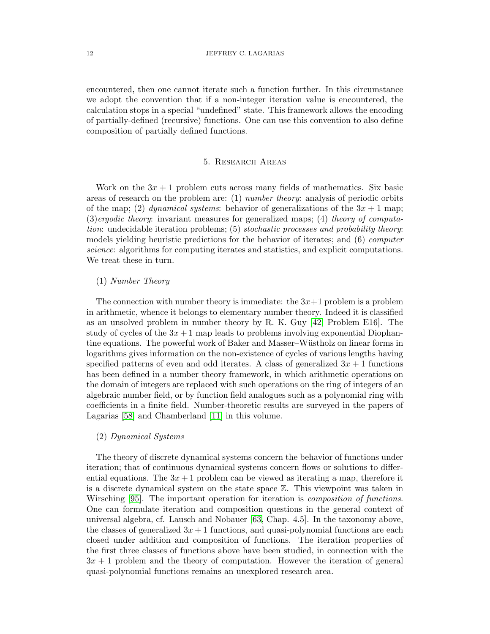encountered, then one cannot iterate such a function further. In this circumstance we adopt the convention that if a non-integer iteration value is encountered, the calculation stops in a special "undefined" state. This framework allows the encoding of partially-defined (recursive) functions. One can use this convention to also define composition of partially defined functions.

#### 5. Research Areas

Work on the  $3x + 1$  problem cuts across many fields of mathematics. Six basic areas of research on the problem are: (1) number theory: analysis of periodic orbits of the map; (2) dynamical systems: behavior of generalizations of the  $3x + 1$  map;  $(3)$ ergodic theory: invariant measures for generalized maps; (4) theory of computation: undecidable iteration problems; (5) stochastic processes and probability theory: models yielding heuristic predictions for the behavior of iterates; and (6) computer science: algorithms for computing iterates and statistics, and explicit computations. We treat these in turn.

### (1) Number Theory

The connection with number theory is immediate: the  $3x+1$  problem is a problem in arithmetic, whence it belongs to elementary number theory. Indeed it is classified as an unsolved problem in number theory by R. K. Guy [\[42,](#page-24-14) Problem E16]. The study of cycles of the  $3x + 1$  map leads to problems involving exponential Diophantine equations. The powerful work of Baker and Masser–Wüstholz on linear forms in logarithms gives information on the non-existence of cycles of various lengths having specified patterns of even and odd iterates. A class of generalized  $3x + 1$  functions has been defined in a number theory framework, in which arithmetic operations on the domain of integers are replaced with such operations on the ring of integers of an algebraic number field, or by function field analogues such as a polynomial ring with coefficients in a finite field. Number-theoretic results are surveyed in the papers of Lagarias [\[58\]](#page-25-0) and Chamberland [\[11\]](#page-23-8) in this volume.

## (2) Dynamical Systems

The theory of discrete dynamical systems concern the behavior of functions under iteration; that of continuous dynamical systems concern flows or solutions to differential equations. The  $3x + 1$  problem can be viewed as iterating a map, therefore it is a discrete dynamical system on the state space Z. This viewpoint was taken in Wirsching [\[95\]](#page-26-9). The important operation for iteration is *composition of functions*. One can formulate iteration and composition questions in the general context of universal algebra, cf. Lausch and Nobauer [\[63,](#page-25-14) Chap. 4.5]. In the taxonomy above, the classes of generalized  $3x + 1$  functions, and quasi-polynomial functions are each closed under addition and composition of functions. The iteration properties of the first three classes of functions above have been studied, in connection with the  $3x + 1$  problem and the theory of computation. However the iteration of general quasi-polynomial functions remains an unexplored research area.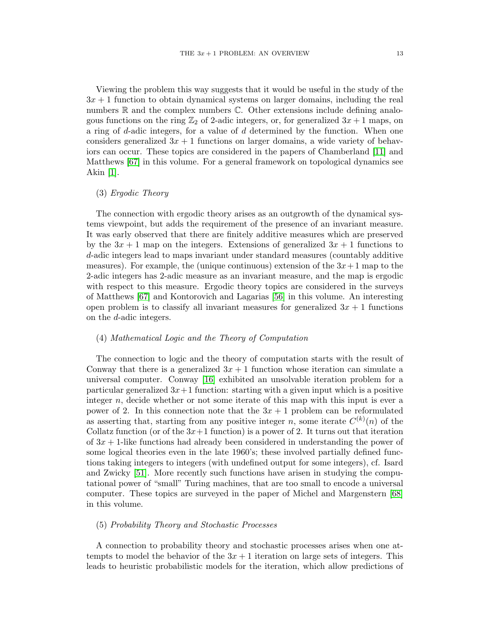Viewing the problem this way suggests that it would be useful in the study of the  $3x + 1$  function to obtain dynamical systems on larger domains, including the real numbers  $\mathbb R$  and the complex numbers  $\mathbb C$ . Other extensions include defining analogous functions on the ring  $\mathbb{Z}_2$  of 2-adic integers, or, for generalized  $3x + 1$  maps, on a ring of d-adic integers, for a value of d determined by the function. When one considers generalized  $3x + 1$  functions on larger domains, a wide variety of behaviors can occur. These topics are considered in the papers of Chamberland [\[11\]](#page-23-8) and Matthews [\[67\]](#page-25-13) in this volume. For a general framework on topological dynamics see Akin [\[1\]](#page-23-9).

## (3) Ergodic Theory

The connection with ergodic theory arises as an outgrowth of the dynamical systems viewpoint, but adds the requirement of the presence of an invariant measure. It was early observed that there are finitely additive measures which are preserved by the  $3x + 1$  map on the integers. Extensions of generalized  $3x + 1$  functions to d-adic integers lead to maps invariant under standard measures (countably additive measures). For example, the (unique continuous) extension of the  $3x+1$  map to the 2-adic integers has 2-adic measure as an invariant measure, and the map is ergodic with respect to this measure. Ergodic theory topics are considered in the surveys of Matthews [\[67\]](#page-25-13) and Kontorovich and Lagarias [\[56\]](#page-25-9) in this volume. An interesting open problem is to classify all invariant measures for generalized  $3x + 1$  functions on the d-adic integers.

# (4) Mathematical Logic and the Theory of Computation

The connection to logic and the theory of computation starts with the result of Conway that there is a generalized  $3x + 1$  function whose iteration can simulate a universal computer. Conway [\[16\]](#page-23-3) exhibited an unsolvable iteration problem for a particular generalized  $3x+1$  function: starting with a given input which is a positive integer  $n$ , decide whether or not some iterate of this map with this input is ever a power of 2. In this connection note that the  $3x + 1$  problem can be reformulated as asserting that, starting from any positive integer n, some iterate  $C^{(k)}(n)$  of the Collatz function (or of the  $3x+1$  function) is a power of 2. It turns out that iteration of  $3x + 1$ -like functions had already been considered in understanding the power of some logical theories even in the late 1960's; these involved partially defined functions taking integers to integers (with undefined output for some integers), cf. Isard and Zwicky [\[51\]](#page-25-3). More recently such functions have arisen in studying the computational power of "small" Turing machines, that are too small to encode a universal computer. These topics are surveyed in the paper of Michel and Margenstern [\[68\]](#page-25-15) in this volume.

## (5) Probability Theory and Stochastic Processes

A connection to probability theory and stochastic processes arises when one attempts to model the behavior of the  $3x + 1$  iteration on large sets of integers. This leads to heuristic probabilistic models for the iteration, which allow predictions of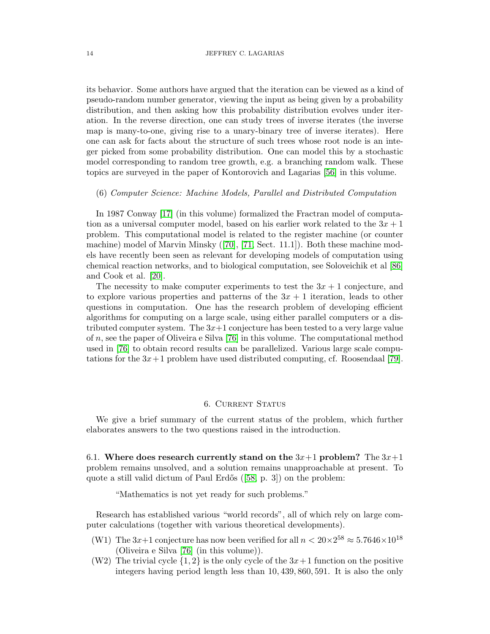its behavior. Some authors have argued that the iteration can be viewed as a kind of pseudo-random number generator, viewing the input as being given by a probability distribution, and then asking how this probability distribution evolves under iteration. In the reverse direction, one can study trees of inverse iterates (the inverse map is many-to-one, giving rise to a unary-binary tree of inverse iterates). Here one can ask for facts about the structure of such trees whose root node is an integer picked from some probability distribution. One can model this by a stochastic model corresponding to random tree growth, e.g. a branching random walk. These topics are surveyed in the paper of Kontorovich and Lagarias [\[56\]](#page-25-9) in this volume.

# (6) Computer Science: Machine Models, Parallel and Distributed Computation

In 1987 Conway [\[17\]](#page-23-10) (in this volume) formalized the Fractran model of computation as a universal computer model, based on his earlier work related to the  $3x + 1$ problem. This computational model is related to the register machine (or counter machine) model of Marvin Minsky ([\[70\]](#page-25-16), [\[71,](#page-25-17) Sect. 11.1]). Both these machine models have recently been seen as relevant for developing models of computation using chemical reaction networks, and to biological computation, see Soloveichik et al [\[86\]](#page-26-12) and Cook et al. [\[20\]](#page-23-11).

The necessity to make computer experiments to test the  $3x + 1$  conjecture, and to explore various properties and patterns of the  $3x + 1$  iteration, leads to other questions in computation. One has the research problem of developing efficient algorithms for computing on a large scale, using either parallel computers or a distributed computer system. The  $3x+1$  conjecture has been tested to a very large value of  $n$ , see the paper of Oliveira e Silva [\[76\]](#page-26-8) in this volume. The computational method used in [\[76\]](#page-26-8) to obtain record results can be parallelized. Various large scale computations for the  $3x+1$  problem have used distributed computing, cf. Roosendaal [\[79\]](#page-26-13).

## 6. Current Status

We give a brief summary of the current status of the problem, which further elaborates answers to the two questions raised in the introduction.

6.1. Where does research currently stand on the  $3x+1$  problem? The  $3x+1$ problem remains unsolved, and a solution remains unapproachable at present. To quote a still valid dictum of Paul Erdős  $(58, p. 3)$  on the problem:

"Mathematics is not yet ready for such problems."

Research has established various "world records", all of which rely on large computer calculations (together with various theoretical developments).

- (W1) The  $3x+1$  conjecture has now been verified for all  $n < 20 \times 2^{58} \approx 5.7646 \times 10^{18}$ (Oliveira e Silva [\[76\]](#page-26-8) (in this volume)).
- (W2) The trivial cycle  $\{1, 2\}$  is the only cycle of the  $3x+1$  function on the positive integers having period length less than 10, 439, 860, 591. It is also the only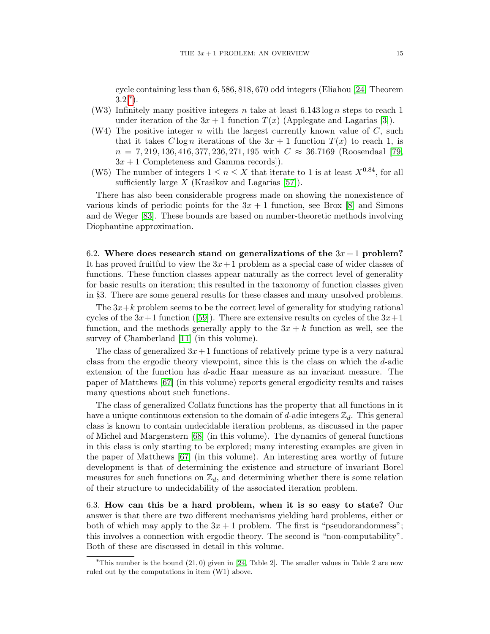cycle containing less than 6, 586, 818, 670 odd integers (Eliahou [\[24,](#page-24-15) Theorem  $3.2$ ]<sup>\*</sup>).

- (W3) Infinitely many positive integers n take at least  $6.143 \log n$  steps to reach 1 under iteration of the  $3x + 1$  function  $T(x)$  (Applegate and Lagarias [\[3\]](#page-23-12)).
- (W4) The positive integer n with the largest currently known value of  $C$ , such that it takes  $C \log n$  iterations of the  $3x + 1$  function  $T(x)$  to reach 1, is  $n = 7,219,136,416,377,236,271,195$  with  $C \approx 36.7169$  (Roosendaal [\[79,](#page-26-13)  $3x + 1$  Completeness and Gamma records.
- (W5) The number of integers  $1 \le n \le X$  that iterate to 1 is at least  $X^{0.84}$ , for all sufficiently large  $X$  (Krasikov and Lagarias [\[57\]](#page-25-18)).

There has also been considerable progress made on showing the nonexistence of various kinds of periodic points for the  $3x + 1$  function, see Brox [\[8\]](#page-23-13) and Simons and de Weger [\[83\]](#page-26-14). These bounds are based on number-theoretic methods involving Diophantine approximation.

6.2. Where does research stand on generalizations of the  $3x + 1$  problem? It has proved fruitful to view the  $3x+1$  problem as a special case of wider classes of functions. These function classes appear naturally as the correct level of generality for basic results on iteration; this resulted in the taxonomy of function classes given in §3. There are some general results for these classes and many unsolved problems.

The  $3x+k$  problem seems to be the correct level of generality for studying rational cycles of the  $3x+1$  function ([\[59\]](#page-25-11)). There are extensive results on cycles of the  $3x+1$ function, and the methods generally apply to the  $3x + k$  function as well, see the survey of Chamberland [\[11\]](#page-23-8) (in this volume).

The class of generalized  $3x+1$  functions of relatively prime type is a very natural class from the ergodic theory viewpoint, since this is the class on which the d-adic extension of the function has d-adic Haar measure as an invariant measure. The paper of Matthews [\[67\]](#page-25-13) (in this volume) reports general ergodicity results and raises many questions about such functions.

The class of generalized Collatz functions has the property that all functions in it have a unique continuous extension to the domain of d-adic integers  $\mathbb{Z}_d$ . This general class is known to contain undecidable iteration problems, as discussed in the paper of Michel and Margenstern [\[68\]](#page-25-15) (in this volume). The dynamics of general functions in this class is only starting to be explored; many interesting examples are given in the paper of Matthews [\[67\]](#page-25-13) (in this volume). An interesting area worthy of future development is that of determining the existence and structure of invariant Borel measures for such functions on  $\mathbb{Z}_d$ , and determining whether there is some relation of their structure to undecidability of the associated iteration problem.

6.3. How can this be a hard problem, when it is so easy to state? Our answer is that there are two different mechanisms yielding hard problems, either or both of which may apply to the  $3x + 1$  problem. The first is "pseudorandomness"; this involves a connection with ergodic theory. The second is "non-computability". Both of these are discussed in detail in this volume.

<span id="page-14-0"></span><sup>∗</sup>This number is the bound (21, 0) given in [\[24,](#page-24-15) Table 2]. The smaller values in Table 2 are now ruled out by the computations in item (W1) above.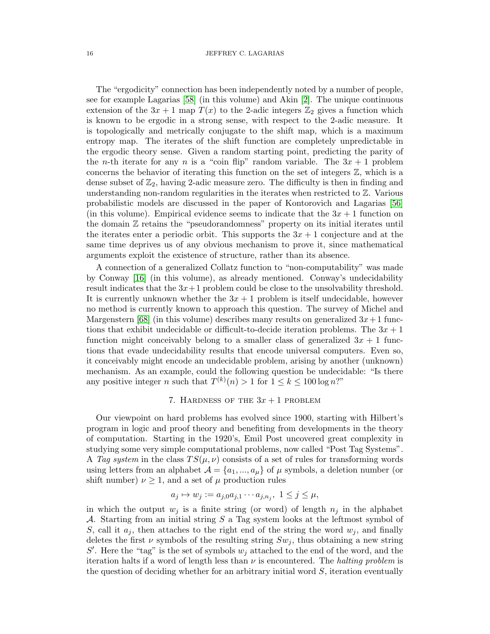The "ergodicity" connection has been independently noted by a number of people, see for example Lagarias [\[58\]](#page-25-0) (in this volume) and Akin [\[2\]](#page-23-14). The unique continuous extension of the  $3x + 1$  map  $T(x)$  to the 2-adic integers  $\mathbb{Z}_2$  gives a function which is known to be ergodic in a strong sense, with respect to the 2-adic measure. It is topologically and metrically conjugate to the shift map, which is a maximum entropy map. The iterates of the shift function are completely unpredictable in the ergodic theory sense. Given a random starting point, predicting the parity of the *n*-th iterate for any *n* is a "coin flip" random variable. The  $3x + 1$  problem concerns the behavior of iterating this function on the set of integers  $\mathbb{Z}$ , which is a dense subset of  $\mathbb{Z}_2$ , having 2-adic measure zero. The difficulty is then in finding and understanding non-random regularities in the iterates when restricted to  $\mathbb{Z}$ . Various probabilistic models are discussed in the paper of Kontorovich and Lagarias [\[56\]](#page-25-9) (in this volume). Empirical evidence seems to indicate that the  $3x + 1$  function on the domain Z retains the "pseudorandomness" property on its initial iterates until the iterates enter a periodic orbit. This supports the  $3x + 1$  conjecture and at the same time deprives us of any obvious mechanism to prove it, since mathematical arguments exploit the existence of structure, rather than its absence.

A connection of a generalized Collatz function to "non-computability" was made by Conway [\[16\]](#page-23-3) (in this volume), as already mentioned. Conway's undecidability result indicates that the  $3x+1$  problem could be close to the unsolvability threshold. It is currently unknown whether the  $3x + 1$  problem is itself undecidable, however no method is currently known to approach this question. The survey of Michel and Margenstern [\[68\]](#page-25-15) (in this volume) describes many results on generalized  $3x+1$  functions that exhibit undecidable or difficult-to-decide iteration problems. The  $3x + 1$ function might conceivably belong to a smaller class of generalized  $3x + 1$  functions that evade undecidability results that encode universal computers. Even so, it conceivably might encode an undecidable problem, arising by another (unknown) mechanism. As an example, could the following question be undecidable: "Is there any positive integer *n* such that  $T^{(k)}(n) > 1$  for  $1 \leq k \leq 100 \log n$ ?"

# 7. HARDNESS OF THE  $3x + 1$  PROBLEM

Our viewpoint on hard problems has evolved since 1900, starting with Hilbert's program in logic and proof theory and benefiting from developments in the theory of computation. Starting in the 1920's, Emil Post uncovered great complexity in studying some very simple computational problems, now called "Post Tag Systems". A Tag system in the class  $TS(\mu, \nu)$  consists of a set of rules for transforming words using letters from an alphabet  $\mathcal{A} = \{a_1, ..., a_\mu\}$  of  $\mu$  symbols, a deletion number (or shift number)  $\nu \geq 1$ , and a set of  $\mu$  production rules

$$
a_j \mapsto w_j := a_{j,0}a_{j,1}\cdots a_{j,n_j}, \ 1 \le j \le \mu,
$$

in which the output  $w_j$  is a finite string (or word) of length  $n_j$  in the alphabet A. Starting from an initial string  $S$  a Tag system looks at the leftmost symbol of S, call it  $a_j$ , then attaches to the right end of the string the word  $w_j$ , and finally deletes the first  $\nu$  symbols of the resulting string  $Sw_j$ , thus obtaining a new string  $S'$ . Here the "tag" is the set of symbols  $w_j$  attached to the end of the word, and the iteration halts if a word of length less than  $\nu$  is encountered. The *halting problem* is the question of deciding whether for an arbitrary initial word  $S$ , iteration eventually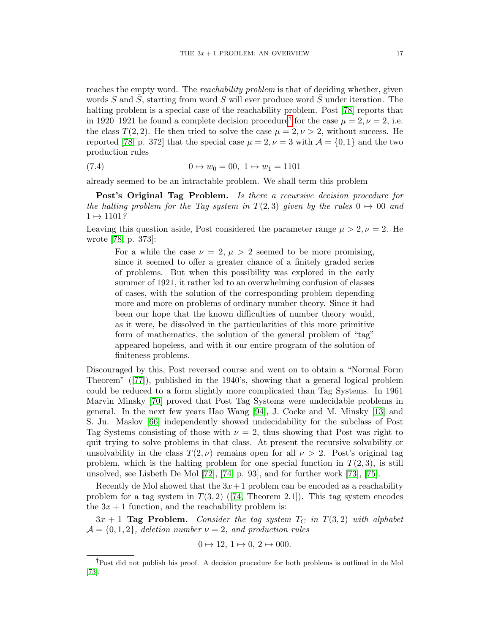reaches the empty word. The *reachability problem* is that of deciding whether, given words  $S$  and  $S$ , starting from word  $S$  will ever produce word  $S$  under iteration. The halting problem is a special case of the reachability problem. Post [\[78\]](#page-26-15) reports that in 1920–1921 he found a complete decision procedure<sup>[†](#page-16-0)</sup> for the case  $\mu = 2, \nu = 2$ , i.e. the class  $T(2, 2)$ . He then tried to solve the case  $\mu = 2, \nu > 2$ , without success. He reported [\[78,](#page-26-15) p. 372] that the special case  $\mu = 2, \nu = 3$  with  $\mathcal{A} = \{0, 1\}$  and the two production rules

(7.4) 
$$
0 \mapsto w_0 = 00, \ 1 \mapsto w_1 = 1101
$$

already seemed to be an intractable problem. We shall term this problem

Post's Original Tag Problem. Is there a recursive decision procedure for the halting problem for the Tag system in  $T(2, 3)$  given by the rules  $0 \mapsto 00$  and  $1 \mapsto 1101$  ?

Leaving this question aside, Post considered the parameter range  $\mu > 2, \nu = 2$ . He wrote [\[78,](#page-26-15) p. 373]:

For a while the case  $\nu = 2, \mu > 2$  seemed to be more promising, since it seemed to offer a greater chance of a finitely graded series of problems. But when this possibility was explored in the early summer of 1921, it rather led to an overwhelming confusion of classes of cases, with the solution of the corresponding problem depending more and more on problems of ordinary number theory. Since it had been our hope that the known difficulties of number theory would, as it were, be dissolved in the particularities of this more primitive form of mathematics, the solution of the general problem of "tag" appeared hopeless, and with it our entire program of the solution of finiteness problems.

Discouraged by this, Post reversed course and went on to obtain a "Normal Form Theorem" ([\[77\]](#page-26-16)), published in the 1940's, showing that a general logical problem could be reduced to a form slightly more complicated than Tag Systems. In 1961 Marvin Minsky [\[70\]](#page-25-16) proved that Post Tag Systems were undecidable problems in general. In the next few years Hao Wang [\[94\]](#page-26-17), J. Cocke and M. Minsky [\[13\]](#page-23-15) and S. Ju. Maslov [\[66\]](#page-25-19) independently showed undecidability for the subclass of Post Tag Systems consisting of those with  $\nu = 2$ , thus showing that Post was right to quit trying to solve problems in that class. At present the recursive solvability or unsolvability in the class  $T(2, \nu)$  remains open for all  $\nu > 2$ . Post's original tag problem, which is the halting problem for one special function in  $T(2, 3)$ , is still unsolved, see Lisbeth De Mol [\[72\]](#page-25-20), [\[74,](#page-26-18) p. 93], and for further work [\[73\]](#page-26-19), [\[75\]](#page-26-20).

Recently de Mol showed that the  $3x+1$  problem can be encoded as a reachability problem for a tag system in  $T(3, 2)$  ([\[74,](#page-26-18) Theorem 2.1]). This tag system encodes the  $3x + 1$  function, and the reachability problem is:

 $3x + 1$  Tag Problem. Consider the tag system  $T_C$  in  $T(3, 2)$  with alphabet  $\mathcal{A} = \{0, 1, 2\}$ , deletion number  $\nu = 2$ , and production rules

$$
0 \mapsto 12, 1 \mapsto 0, 2 \mapsto 000.
$$

<span id="page-16-0"></span><sup>†</sup>Post did not publish his proof. A decision procedure for both problems is outlined in de Mol [\[73\]](#page-26-19).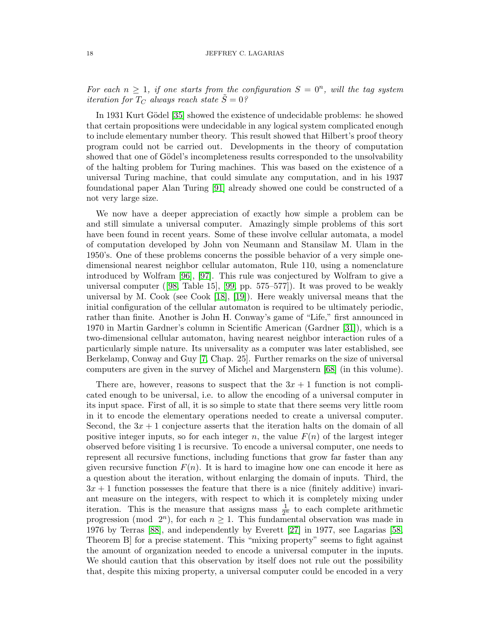For each  $n \geq 1$ , if one starts from the configuration  $S = 0<sup>n</sup>$ , will the tag system iteration for  $T_C$  always reach state  $S = 0$ ?

In 1931 Kurt Gödel [\[35\]](#page-24-16) showed the existence of undecidable problems: he showed that certain propositions were undecidable in any logical system complicated enough to include elementary number theory. This result showed that Hilbert's proof theory program could not be carried out. Developments in the theory of computation showed that one of Gödel's incompleteness results corresponded to the unsolvability of the halting problem for Turing machines. This was based on the existence of a universal Turing machine, that could simulate any computation, and in his 1937 foundational paper Alan Turing [\[91\]](#page-26-21) already showed one could be constructed of a not very large size.

We now have a deeper appreciation of exactly how simple a problem can be and still simulate a universal computer. Amazingly simple problems of this sort have been found in recent years. Some of these involve cellular automata, a model of computation developed by John von Neumann and Stansilaw M. Ulam in the 1950's. One of these problems concerns the possible behavior of a very simple onedimensional nearest neighbor cellular automaton, Rule 110, using a nomenclature introduced by Wolfram [\[96\]](#page-26-22), [\[97\]](#page-26-23). This rule was conjectured by Wolfram to give a universal computer ([\[98,](#page-26-24) Table 15], [\[99,](#page-26-25) pp. 575–577]). It was proved to be weakly universal by M. Cook (see Cook [\[18\]](#page-23-16), [\[19\]](#page-23-17)). Here weakly universal means that the initial configuration of the cellular automaton is required to be ultimately periodic, rather than finite. Another is John H. Conway's game of "Life," first announced in 1970 in Martin Gardner's column in Scientific American (Gardner [\[31\]](#page-24-17)), which is a two-dimensional cellular automaton, having nearest neighbor interaction rules of a particularly simple nature. Its universality as a computer was later established, see Berkelamp, Conway and Guy [\[7,](#page-23-18) Chap. 25]. Further remarks on the size of universal computers are given in the survey of Michel and Margenstern [\[68\]](#page-25-15) (in this volume).

There are, however, reasons to suspect that the  $3x + 1$  function is not complicated enough to be universal, i.e. to allow the encoding of a universal computer in its input space. First of all, it is so simple to state that there seems very little room in it to encode the elementary operations needed to create a universal computer. Second, the  $3x + 1$  conjecture asserts that the iteration halts on the domain of all positive integer inputs, so for each integer n, the value  $F(n)$  of the largest integer observed before visiting 1 is recursive. To encode a universal computer, one needs to represent all recursive functions, including functions that grow far faster than any given recursive function  $F(n)$ . It is hard to imagine how one can encode it here as a question about the iteration, without enlarging the domain of inputs. Third, the  $3x + 1$  function possesses the feature that there is a nice (finitely additive) invariant measure on the integers, with respect to which it is completely mixing under iteration. This is the measure that assigns mass  $\frac{1}{2^n}$  to each complete arithmetic progression (mod  $2^n$ ), for each  $n \geq 1$ . This fundamental observation was made in 1976 by Terras [\[88\]](#page-26-0), and independently by Everett [\[27\]](#page-24-0) in 1977, see Lagarias [\[58,](#page-25-0) Theorem B] for a precise statement. This "mixing property" seems to fight against the amount of organization needed to encode a universal computer in the inputs. We should caution that this observation by itself does not rule out the possibility that, despite this mixing property, a universal computer could be encoded in a very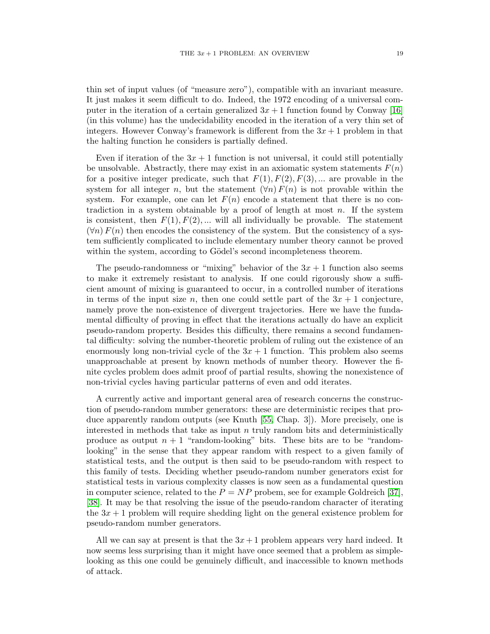thin set of input values (of "measure zero"), compatible with an invariant measure. It just makes it seem difficult to do. Indeed, the 1972 encoding of a universal computer in the iteration of a certain generalized  $3x + 1$  function found by Conway [\[16\]](#page-23-3) (in this volume) has the undecidability encoded in the iteration of a very thin set of integers. However Conway's framework is different from the  $3x + 1$  problem in that the halting function he considers is partially defined.

Even if iteration of the  $3x + 1$  function is not universal, it could still potentially be unsolvable. Abstractly, there may exist in an axiomatic system statements  $F(n)$ for a positive integer predicate, such that  $F(1), F(2), F(3), \dots$  are provable in the system for all integer n, but the statement  $(\forall n) F(n)$  is not provable within the system. For example, one can let  $F(n)$  encode a statement that there is no contradiction in a system obtainable by a proof of length at most  $n$ . If the system is consistent, then  $F(1), F(2), \ldots$  will all individually be provable. The statement  $(\forall n) F(n)$  then encodes the consistency of the system. But the consistency of a system sufficiently complicated to include elementary number theory cannot be proved within the system, according to Gödel's second incompleteness theorem.

The pseudo-randomness or "mixing" behavior of the  $3x + 1$  function also seems to make it extremely resistant to analysis. If one could rigorously show a sufficient amount of mixing is guaranteed to occur, in a controlled number of iterations in terms of the input size n, then one could settle part of the  $3x + 1$  conjecture, namely prove the non-existence of divergent trajectories. Here we have the fundamental difficulty of proving in effect that the iterations actually do have an explicit pseudo-random property. Besides this difficulty, there remains a second fundamental difficulty: solving the number-theoretic problem of ruling out the existence of an enormously long non-trivial cycle of the  $3x + 1$  function. This problem also seems unapproachable at present by known methods of number theory. However the finite cycles problem does admit proof of partial results, showing the nonexistence of non-trivial cycles having particular patterns of even and odd iterates.

A currently active and important general area of research concerns the construction of pseudo-random number generators: these are deterministic recipes that produce apparently random outputs (see Knuth [\[55,](#page-25-21) Chap. 3]). More precisely, one is interested in methods that take as input  $n$  truly random bits and deterministically produce as output  $n + 1$  "random-looking" bits. These bits are to be "randomlooking" in the sense that they appear random with respect to a given family of statistical tests, and the output is then said to be pseudo-random with respect to this family of tests. Deciding whether pseudo-random number generators exist for statistical tests in various complexity classes is now seen as a fundamental question in computer science, related to the  $P = NP$  probem, see for example Goldreich [\[37\]](#page-24-18), [\[38\]](#page-24-19). It may be that resolving the issue of the pseudo-random character of iterating the  $3x + 1$  problem will require shedding light on the general existence problem for pseudo-random number generators.

All we can say at present is that the  $3x+1$  problem appears very hard indeed. It now seems less surprising than it might have once seemed that a problem as simplelooking as this one could be genuinely difficult, and inaccessible to known methods of attack.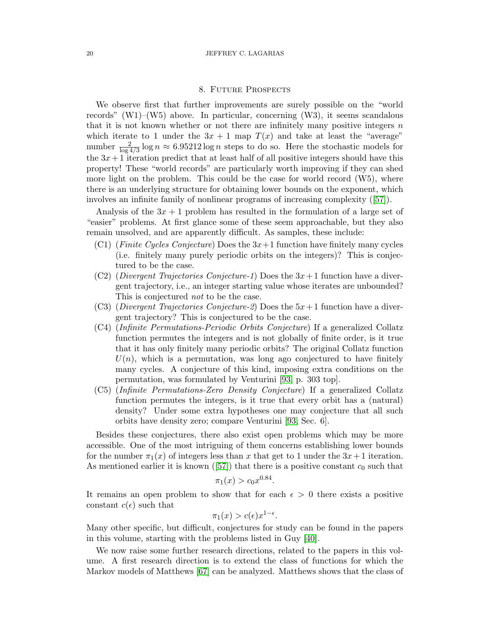#### 20 JEFFREY C. LAGARIAS

#### 8. Future Prospects

We observe first that further improvements are surely possible on the "world records"  $(W1)$ – $(W5)$  above. In particular, concerning  $(W3)$ , it seems scandalous that it is not known whether or not there are infinitely many positive integers  $n$ which iterate to 1 under the  $3x + 1$  map  $T(x)$  and take at least the "average" number  $\frac{2}{\log 4/3} \log n \approx 6.95212 \log n$  steps to do so. Here the stochastic models for the  $3x+1$  iteration predict that at least half of all positive integers should have this property! These "world records" are particularly worth improving if they can shed more light on the problem. This could be the case for world record  $(W5)$ , where there is an underlying structure for obtaining lower bounds on the exponent, which involves an infinite family of nonlinear programs of increasing complexity ([\[57\]](#page-25-18)).

Analysis of the  $3x + 1$  problem has resulted in the formulation of a large set of "easier" problems. At first glance some of these seem approachable, but they also remain unsolved, and are apparently difficult. As samples, these include:

- (C1) (Finite Cycles Conjecture) Does the  $3x+1$  function have finitely many cycles (i.e. finitely many purely periodic orbits on the integers)? This is conjectured to be the case.
- (C2) (Divergent Trajectories Conjecture-1) Does the  $3x+1$  function have a divergent trajectory, i.e., an integer starting value whose iterates are unbounded? This is conjectured *not* to be the case.
- (C3) (Divergent Trajectories Conjecture-2) Does the  $5x+1$  function have a divergent trajectory? This is conjectured to be the case.
- (C4) (Infinite Permutations-Periodic Orbits Conjecture) If a generalized Collatz function permutes the integers and is not globally of finite order, is it true that it has only finitely many periodic orbits? The original Collatz function  $U(n)$ , which is a permutation, was long ago conjectured to have finitely many cycles. A conjecture of this kind, imposing extra conditions on the permutation, was formulated by Venturini [\[93,](#page-26-26) p. 303 top].
- (C5) (Infinite Permutations-Zero Density Conjecture) If a generalized Collatz function permutes the integers, is it true that every orbit has a (natural) density? Under some extra hypotheses one may conjecture that all such orbits have density zero; compare Venturini [\[93,](#page-26-26) Sec. 6].

Besides these conjectures, there also exist open problems which may be more accessible. One of the most intriguing of them concerns establishing lower bounds for the number  $\pi_1(x)$  of integers less than x that get to 1 under the  $3x+1$  iteration. As mentioned earlier it is known ([\[57\]](#page-25-18)) that there is a positive constant  $c_0$  such that

$$
\pi_1(x) > c_0 x^{0.84}.
$$

It remains an open problem to show that for each  $\epsilon > 0$  there exists a positive constant  $c(\epsilon)$  such that

$$
\pi_1(x) > c(\epsilon) x^{1-\epsilon}.
$$

Many other specific, but difficult, conjectures for study can be found in the papers in this volume, starting with the problems listed in Guy [\[40\]](#page-24-6).

We now raise some further research directions, related to the papers in this volume. A first research direction is to extend the class of functions for which the Markov models of Matthews [\[67\]](#page-25-13) can be analyzed. Matthews shows that the class of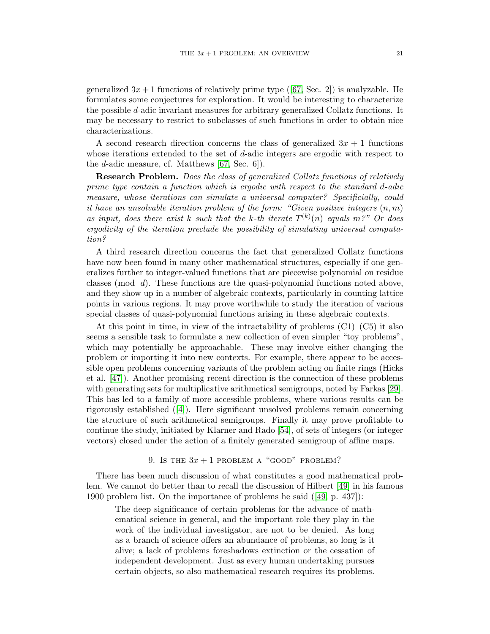generalized  $3x + 1$  functions of relatively prime type ([\[67,](#page-25-13) Sec. 2]) is analyzable. He formulates some conjectures for exploration. It would be interesting to characterize the possible d-adic invariant measures for arbitrary generalized Collatz functions. It may be necessary to restrict to subclasses of such functions in order to obtain nice characterizations.

A second research direction concerns the class of generalized  $3x + 1$  functions whose iterations extended to the set of d-adic integers are ergodic with respect to the d-adic measure, cf. Matthews [\[67,](#page-25-13) Sec. 6]).

Research Problem. Does the class of generalized Collatz functions of relatively prime type contain a function which is ergodic with respect to the standard d-adic measure, whose iterations can simulate a universal computer? Specificially, could it have an unsolvable iteration problem of the form: "Given positive integers  $(n, m)$ as input, does there exist k such that the k-th iterate  $T^{(k)}(n)$  equals  $m \, ?$ " Or does ergodicity of the iteration preclude the possibility of simulating universal computation?

A third research direction concerns the fact that generalized Collatz functions have now been found in many other mathematical structures, especially if one generalizes further to integer-valued functions that are piecewise polynomial on residue classes (mod  $d$ ). These functions are the quasi-polynomial functions noted above, and they show up in a number of algebraic contexts, particularly in counting lattice points in various regions. It may prove worthwhile to study the iteration of various special classes of quasi-polynomial functions arising in these algebraic contexts.

At this point in time, in view of the intractability of problems  $(C1)$ – $(C5)$  it also seems a sensible task to formulate a new collection of even simpler "toy problems", which may potentially be approachable. These may involve either changing the problem or importing it into new contexts. For example, there appear to be accessible open problems concerning variants of the problem acting on finite rings (Hicks et al. [\[47\]](#page-24-20)). Another promising recent direction is the connection of these problems with generating sets for multiplicative arithmetical semigroups, noted by Farkas [\[29\]](#page-24-21). This has led to a family of more accessible problems, where various results can be rigorously established ([\[4\]](#page-23-19)). Here significant unsolved problems remain concerning the structure of such arithmetical semigroups. Finally it may prove profitable to continue the study, initiated by Klarner and Rado [\[54\]](#page-25-4), of sets of integers (or integer vectors) closed under the action of a finitely generated semigroup of affine maps.

## 9. Is THE  $3x + 1$  PROBLEM A "GOOD" PROBLEM?

There has been much discussion of what constitutes a good mathematical problem. We cannot do better than to recall the discussion of Hilbert [\[49\]](#page-25-22) in his famous 1900 problem list. On the importance of problems he said ([\[49,](#page-25-22) p. 437]):

The deep significance of certain problems for the advance of mathematical science in general, and the important role they play in the work of the individual investigator, are not to be denied. As long as a branch of science offers an abundance of problems, so long is it alive; a lack of problems foreshadows extinction or the cessation of independent development. Just as every human undertaking pursues certain objects, so also mathematical research requires its problems.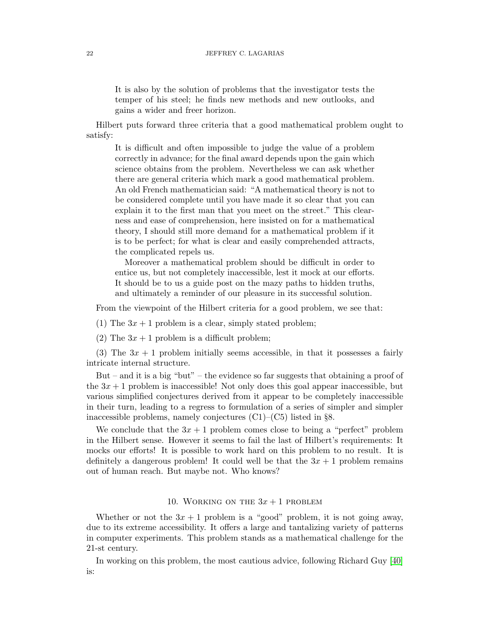It is also by the solution of problems that the investigator tests the temper of his steel; he finds new methods and new outlooks, and gains a wider and freer horizon.

Hilbert puts forward three criteria that a good mathematical problem ought to satisfy:

It is difficult and often impossible to judge the value of a problem correctly in advance; for the final award depends upon the gain which science obtains from the problem. Nevertheless we can ask whether there are general criteria which mark a good mathematical problem. An old French mathematician said: "A mathematical theory is not to be considered complete until you have made it so clear that you can explain it to the first man that you meet on the street." This clearness and ease of comprehension, here insisted on for a mathematical theory, I should still more demand for a mathematical problem if it is to be perfect; for what is clear and easily comprehended attracts, the complicated repels us.

Moreover a mathematical problem should be difficult in order to entice us, but not completely inaccessible, lest it mock at our efforts. It should be to us a guide post on the mazy paths to hidden truths, and ultimately a reminder of our pleasure in its successful solution.

From the viewpoint of the Hilbert criteria for a good problem, we see that:

(1) The  $3x + 1$  problem is a clear, simply stated problem;

(2) The  $3x + 1$  problem is a difficult problem;

(3) The  $3x + 1$  problem initially seems accessible, in that it possesses a fairly intricate internal structure.

But – and it is a big "but" – the evidence so far suggests that obtaining a proof of the  $3x + 1$  problem is inaccessible! Not only does this goal appear inaccessible, but various simplified conjectures derived from it appear to be completely inaccessible in their turn, leading to a regress to formulation of a series of simpler and simpler inaccessible problems, namely conjectures  $(C1)$ – $(C5)$  listed in §8.

We conclude that the  $3x + 1$  problem comes close to being a "perfect" problem in the Hilbert sense. However it seems to fail the last of Hilbert's requirements: It mocks our efforts! It is possible to work hard on this problem to no result. It is definitely a dangerous problem! It could well be that the  $3x + 1$  problem remains out of human reach. But maybe not. Who knows?

# 10. WORKING ON THE  $3x + 1$  PROBLEM

Whether or not the  $3x + 1$  problem is a "good" problem, it is not going away, due to its extreme accessibility. It offers a large and tantalizing variety of patterns in computer experiments. This problem stands as a mathematical challenge for the 21-st century.

In working on this problem, the most cautious advice, following Richard Guy [\[40\]](#page-24-6) is: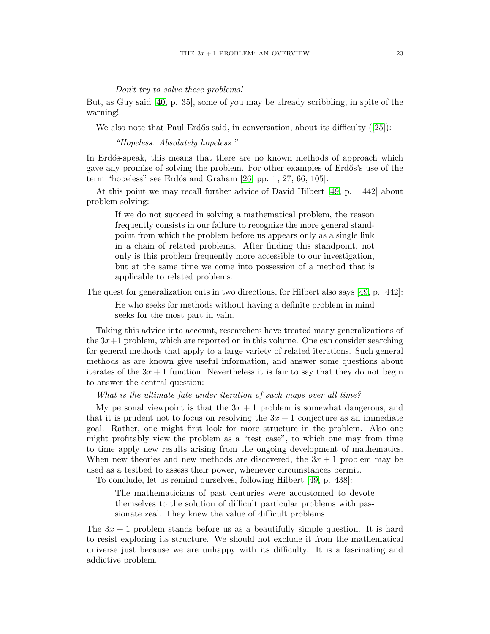#### Don't try to solve these problems!

But, as Guy said [\[40,](#page-24-6) p. 35], some of you may be already scribbling, in spite of the warning!

We also note that Paul Erdős said, in conversation, about its difficulty ([\[25\]](#page-24-22)):

"Hopeless. Absolutely hopeless."

In Erdős-speak, this means that there are no known methods of approach which gave any promise of solving the problem. For other examples of Erdős's use of the term "hopeless" see Erdös and Graham  $[26, pp. 1, 27, 66, 105]$  $[26, pp. 1, 27, 66, 105]$ .

At this point we may recall further advice of David Hilbert [\[49,](#page-25-22) p. 442] about problem solving:

If we do not succeed in solving a mathematical problem, the reason frequently consists in our failure to recognize the more general standpoint from which the problem before us appears only as a single link in a chain of related problems. After finding this standpoint, not only is this problem frequently more accessible to our investigation, but at the same time we come into possession of a method that is applicable to related problems.

The quest for generalization cuts in two directions, for Hilbert also says [\[49,](#page-25-22) p. 442]:

He who seeks for methods without having a definite problem in mind seeks for the most part in vain.

Taking this advice into account, researchers have treated many generalizations of the  $3x+1$  problem, which are reported on in this volume. One can consider searching for general methods that apply to a large variety of related iterations. Such general methods as are known give useful information, and answer some questions about iterates of the  $3x + 1$  function. Nevertheless it is fair to say that they do not begin to answer the central question:

What is the ultimate fate under iteration of such maps over all time?

My personal viewpoint is that the  $3x + 1$  problem is somewhat dangerous, and that it is prudent not to focus on resolving the  $3x + 1$  conjecture as an immediate goal. Rather, one might first look for more structure in the problem. Also one might profitably view the problem as a "test case", to which one may from time to time apply new results arising from the ongoing development of mathematics. When new theories and new methods are discovered, the  $3x + 1$  problem may be used as a testbed to assess their power, whenever circumstances permit.

To conclude, let us remind ourselves, following Hilbert [\[49,](#page-25-22) p. 438]:

The mathematicians of past centuries were accustomed to devote themselves to the solution of difficult particular problems with passionate zeal. They knew the value of difficult problems.

The  $3x + 1$  problem stands before us as a beautifully simple question. It is hard to resist exploring its structure. We should not exclude it from the mathematical universe just because we are unhappy with its difficulty. It is a fascinating and addictive problem.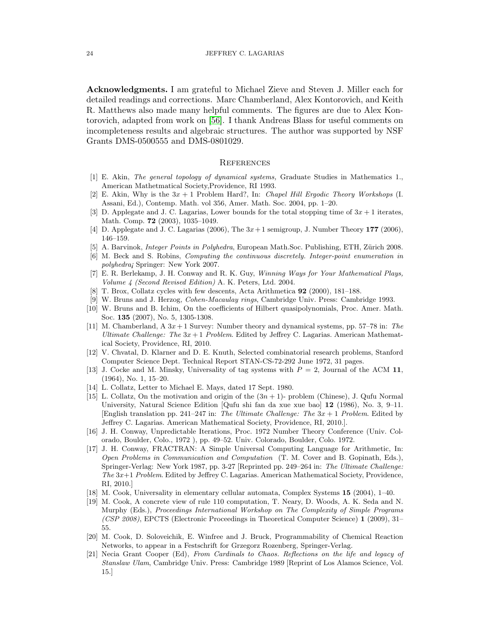Acknowledgments. I am grateful to Michael Zieve and Steven J. Miller each for detailed readings and corrections. Marc Chamberland, Alex Kontorovich, and Keith R. Matthews also made many helpful comments. The figures are due to Alex Kontorovich, adapted from work on [\[56\]](#page-25-9). I thank Andreas Blass for useful comments on incompleteness results and algebraic structures. The author was supported by NSF Grants DMS-0500555 and DMS-0801029.

## **REFERENCES**

- <span id="page-23-9"></span>[1] E. Akin, The general topology of dynamical systems, Graduate Studies in Mathematics 1., American Mathetmatical Society,Providence, RI 1993.
- <span id="page-23-14"></span>[2] E. Akin, Why is the  $3x + 1$  Problem Hard?, In: *Chapel Hill Ergodic Theory Workshops* (I. Assani, Ed.), Contemp. Math. vol 356, Amer. Math. Soc. 2004, pp. 1–20.
- <span id="page-23-12"></span>[3] D. Applegate and J. C. Lagarias, Lower bounds for the total stopping time of  $3x + 1$  iterates, Math. Comp. 72 (2003), 1035–1049.
- <span id="page-23-19"></span>[4] D. Applegate and J. C. Lagarias  $(2006)$ , The  $3x+1$  semigroup, J. Number Theory 177  $(2006)$ , 146–159.
- <span id="page-23-7"></span>[5] A. Barvinok, *Integer Points in Polyhedra*, European Math.Soc. Publishing, ETH, Zürich 2008.
- <span id="page-23-6"></span>[6] M. Beck and S. Robins, Computing the continuous discretely. Integer-point enumeration in polyhedra¡ Springer: New York 2007.
- <span id="page-23-18"></span>[7] E. R. Berlekamp, J. H. Conway and R. K. Guy, Winning Ways for Your Mathematical Plays, Volume 4 (Second Revised Edition) A. K. Peters, Ltd. 2004.
- <span id="page-23-13"></span>[8] T. Brox, Collatz cycles with few descents, Acta Arithmetica 92 (2000), 181–188.
- <span id="page-23-4"></span>[9] W. Bruns and J. Herzog, Cohen-Macaulay rings, Cambridge Univ. Press: Cambridge 1993.
- <span id="page-23-5"></span>[10] W. Bruns and B. Ichim, On the coefficients of Hilbert quasipolynomials, Proc. Amer. Math. Soc. 135 (2007), No. 5, 1305-1308.
- <span id="page-23-8"></span>[11] M. Chamberland, A  $3x+1$  Survey: Number theory and dynamical systems, pp. 57–78 in: The Ultimate Challenge: The  $3x + 1$  Problem. Edited by Jeffrey C. Lagarias. American Mathematical Society, Providence, RI, 2010.
- [12] V. Chvatal, D. Klarner and D. E. Knuth, Selected combinatorial research problems, Stanford Computer Science Dept. Technical Report STAN-CS-72-292 June 1972, 31 pages.
- <span id="page-23-15"></span>[13] J. Cocke and M. Minsky, Universality of tag systems with  $P = 2$ , Journal of the ACM 11, (1964), No. 1, 15–20.
- <span id="page-23-0"></span>[14] L. Collatz, Letter to Michael E. Mays, dated 17 Sept. 1980.
- <span id="page-23-1"></span>[15] L. Collatz, On the motivation and origin of the  $(3n + 1)$ - problem (Chinese), J. Qufu Normal University, Natural Science Edition [Qufu shi fan da xue xue bao] 12 (1986), No. 3, 9–11. [English translation pp. 241–247 in: The Ultimate Challenge: The 3x + 1 Problem. Edited by Jeffrey C. Lagarias. American Mathematical Society, Providence, RI, 2010.].
- <span id="page-23-3"></span>[16] J. H. Conway, Unpredictable Iterations, Proc. 1972 Number Theory Conference (Univ. Colorado, Boulder, Colo., 1972 ), pp. 49–52. Univ. Colorado, Boulder, Colo. 1972.
- <span id="page-23-10"></span>[17] J. H. Conway, FRACTRAN: A Simple Universal Computing Language for Arithmetic, In: Open Problems in Communication and Computation (T. M. Cover and B. Gopinath, Eds.), Springer-Verlag: New York 1987, pp. 3-27 [Reprinted pp. 249–264 in: The Ultimate Challenge: The 3x+1 Problem. Edited by Jeffrey C. Lagarias. American Mathematical Society, Providence, RI, 2010.]
- <span id="page-23-16"></span>[18] M. Cook, Universality in elementary cellular automata, Complex Systems 15 (2004), 1–40.
- <span id="page-23-17"></span>[19] M. Cook, A concrete view of rule 110 computation, T. Neary, D. Woods, A. K. Seda and N. Murphy (Eds.), Proceedings International Workshop on The Complexity of Simple Programs (CSP 2008), EPCTS (Electronic Proceedings in Theoretical Computer Science) 1 (2009), 31– 55.
- <span id="page-23-11"></span>[20] M. Cook, D. Soloveichik, E. Winfree and J. Bruck, Programmability of Chemical Reaction Networks, to appear in a Festschrift for Grzegorz Rozenberg, Springer-Verlag.
- <span id="page-23-2"></span>[21] Necia Grant Cooper (Ed), From Cardinals to Chaos. Reflections on the life and legacy of Stanslaw Ulam, Cambridge Univ. Press: Cambridge 1989 [Reprint of Los Alamos Science, Vol. 15.]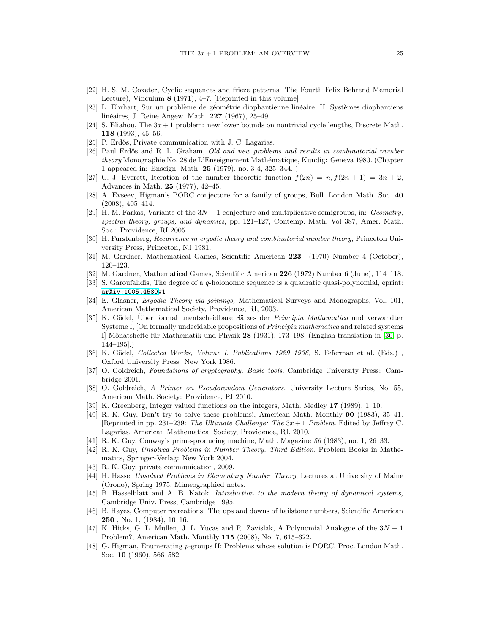- <span id="page-24-4"></span>[22] H. S. M. Coxeter, Cyclic sequences and frieze patterns: The Fourth Felix Behrend Memorial Lecture), Vinculum 8 (1971), 4–7. [Reprinted in this volume]
- <span id="page-24-10"></span>[23] L. Ehrhart, Sur un problème de géométrie diophantienne linéaire. II. Systèmes diophantiens linéaires, J. Reine Angew. Math. 227 (1967), 25–49.
- <span id="page-24-15"></span>[24] S. Eliahou, The  $3x + 1$  problem: new lower bounds on nontrivial cycle lengths, Discrete Math. 118 (1993), 45–56.
- <span id="page-24-22"></span>[25] P. Erdős, Private communication with J. C. Lagarias.
- <span id="page-24-23"></span>[26] Paul Erdős and R. L. Graham, *Old and new problems and results in combinatorial number* theory Monographie No. 28 de L'Enseignement Mathématique, Kundig: Geneva 1980. (Chapter 1 appeared in: Enseign. Math. 25 (1979), no. 3-4, 325–344. )
- <span id="page-24-0"></span>[27] C. J. Everett, Iteration of the number theoretic function  $f(2n) = n$ ,  $f(2n + 1) = 3n + 2$ , Advances in Math. 25 (1977), 42–45.
- <span id="page-24-13"></span>[28] A. Evseev, Higman's PORC conjecture for a family of groups, Bull. London Math. Soc. 40 (2008), 405–414.
- <span id="page-24-21"></span>[29] H. M. Farkas, Variants of the  $3N+1$  conjecture and multiplicative semigroups, in: Geometry, spectral theory, groups, and dynamics, pp. 121–127, Contemp. Math. Vol 387, Amer. Math. Soc.: Providence, RI 2005.
- <span id="page-24-8"></span>[30] H. Furstenberg, Recurrence in ergodic theory and combinatorial number theory, Princeton University Press, Princeton, NJ 1981.
- <span id="page-24-17"></span>[31] M. Gardner, Mathematical Games, Scientific American 223 (1970) Number 4 (October), 120–123.
- <span id="page-24-5"></span>[32] M. Gardner, Mathematical Games, Scientific American 226 (1972) Number 6 (June), 114–118.
- <span id="page-24-11"></span>[33] S. Garoufalidis, The degree of a q-holonomic sequence is a quadratic quasi-polynomial, eprint: [arXiv:1005.4580v](http://arxiv.org/abs/1005.4580)1
- <span id="page-24-9"></span>[34] E. Glasner, Ergodic Theory via joinings, Mathematical Surveys and Monographs, Vol. 101, American Mathematical Society, Providence, RI, 2003.
- <span id="page-24-16"></span>[35] K. Gödel, Über formal unentscheidbare Sätzes der *Principia Mathematica* und verwandter Systeme I, [On formally undecidable propositions of Principia mathematica and related systems I] Mönatshefte für Mathematik und Physik  $28$  (1931), 173–198. (English translation in [\[36,](#page-24-24) p. 144–195].)
- <span id="page-24-24"></span>[36] K. Gödel, Collected Works, Volume I. Publications 1929–1936, S. Feferman et al. (Eds.), Oxford University Press: New York 1986.
- <span id="page-24-18"></span>[37] O. Goldreich, Foundations of cryptography. Basic tools. Cambridge University Press: Cambridge 2001.
- <span id="page-24-19"></span>[38] O. Goldreich, A Primer on Pseudorandom Generators, University Lecture Series, No. 55, American Math. Society: Providence, RI 2010.
- [39] K. Greenberg, Integer valued functions on the integers, Math. Medley 17 (1989), 1–10.
- <span id="page-24-6"></span>[40] R. K. Guy, Don't try to solve these problems!, American Math. Monthly 90 (1983), 35–41. [Reprinted in pp. 231–239: The Ultimate Challenge: The 3x + 1 Problem. Edited by Jeffrey C. Lagarias. American Mathematical Society, Providence, RI, 2010.
- [41] R. K. Guy, Conway's prime-producing machine, Math. Magazine 56 (1983), no. 1, 26–33.
- <span id="page-24-14"></span>[42] R. K. Guy, Unsolved Problems in Number Theory. Third Edition. Problem Books in Mathematics, Springer-Verlag: New York 2004.
- <span id="page-24-3"></span>[43] R. K. Guy, private communication, 2009.
- <span id="page-24-2"></span>[44] H. Hasse, Unsolved Problems in Elementary Number Theory, Lectures at University of Maine (Orono), Spring 1975, Mimeographied notes.
- <span id="page-24-1"></span>[45] B. Hasselblatt and A. B. Katok, *Introduction to the modern theory of dynamical systems*, Cambridge Univ. Press, Cambridge 1995.
- <span id="page-24-7"></span>[46] B. Hayes, Computer recreations: The ups and downs of hailstone numbers, Scientific American  $250$ , No. 1,  $(1984)$ ,  $10-16$ .
- <span id="page-24-20"></span>[47] K. Hicks, G. L. Mullen, J. L. Yucas and R. Zavislak, A Polynomial Analogue of the  $3N+1$ Problem?, American Math. Monthly 115 (2008), No. 7, 615–622.
- <span id="page-24-12"></span>[48] G. Higman, Enumerating p-groups II: Problems whose solution is PORC, Proc. London Math. Soc. 10 (1960), 566–582.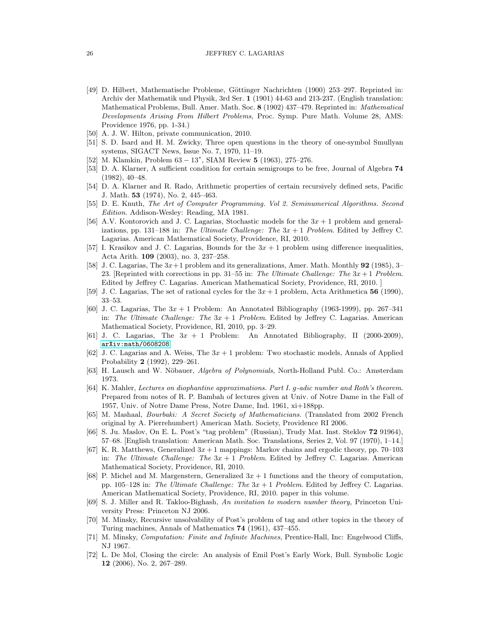- <span id="page-25-22"></span>[49] D. Hilbert, Mathematische Probleme, Göttinger Nachrichten (1900) 253–297. Reprinted in: Archiv der Mathematik und Physik, 3rd Ser. 1 (1901) 44-63 and 213-237. (English translation: Mathematical Problems, Bull. Amer. Math. Soc. 8 (1902) 437–479. Reprinted in: Mathematical Developments Arising From Hilbert Problems, Proc. Symp. Pure Math. Volume 28, AMS: Providence 1976, pp. 1-34.)
- <span id="page-25-6"></span>[50] A. J. W. Hilton, private communication, 2010.
- <span id="page-25-3"></span>[51] S. D. Isard and H. M. Zwicky, Three open questions in the theory of one-symbol Smullyan systems, SIGACT News, Issue No. 7, 1970, 11–19.
- <span id="page-25-2"></span>[52] M. Klamkin, Problem 63 − 13<sup>∗</sup> , SIAM Review 5 (1963), 275–276.
- <span id="page-25-5"></span>[53] D. A. Klarner, A sufficient condition for certain semigroups to be free, Journal of Algebra 74 (1982), 40–48.
- <span id="page-25-4"></span>[54] D. A. Klarner and R. Rado, Arithmetic properties of certain recursively defined sets, Pacific J. Math. 53 (1974), No. 2, 445–463.
- <span id="page-25-21"></span>[55] D. E. Knuth, The Art of Computer Programming. Vol 2. Seminumerical Algorithms. Second Edition. Addison-Wesley: Reading, MA 1981.
- <span id="page-25-9"></span>[56] A.V. Kontorovich and J. C. Lagarias, Stochastic models for the  $3x + 1$  problem and generalizations, pp. 131–188 in: The Ultimate Challenge: The  $3x + 1$  Problem. Edited by Jeffrey C. Lagarias. American Mathematical Society, Providence, RI, 2010.
- <span id="page-25-18"></span>[57] I. Krasikov and J. C. Lagarias, Bounds for the  $3x + 1$  problem using difference inequalities, Acta Arith. 109 (2003), no. 3, 237–258.
- <span id="page-25-0"></span>[58] J. C. Lagarias, The  $3x+1$  problem and its generalizations, Amer. Math. Monthly **92** (1985), 3– 23. [Reprinted with corrections in pp. 31–55 in: The Ultimate Challenge: The  $3x+1$  Problem. Edited by Jeffrey C. Lagarias. American Mathematical Society, Providence, RI, 2010. ]
- <span id="page-25-11"></span>[59] J. C. Lagarias, The set of rational cycles for the  $3x + 1$  problem, Acta Arithmetica 56 (1990), 33–53.
- <span id="page-25-7"></span>[60] J. C. Lagarias, The  $3x + 1$  Problem: An Annotated Bibliography (1963-1999), pp. 267–341 in: The Ultimate Challenge: The  $3x + 1$  Problem. Edited by Jeffrey C. Lagarias. American Mathematical Society, Providence, RI, 2010, pp. 3–29.
- <span id="page-25-8"></span>[61] J. C. Lagarias, The  $3x + 1$  Problem: An Annotated Bibliography, II (2000-2009), [arXiv:math/0608208](http://arxiv.org/abs/math/0608208).
- <span id="page-25-10"></span> $[62]$  J. C. Lagarias and A. Weiss, The  $3x + 1$  problem: Two stochastic models, Annals of Applied Probability 2 (1992), 229–261.
- <span id="page-25-14"></span>[63] H. Lausch and W. Nöbauer, Algebra of Polynomials, North-Holland Publ. Co.: Amsterdam 1973.
- <span id="page-25-12"></span>[64] K. Mahler, Lectures on diophantine approximations. Part I. g-adic number and Roth's theorem. Prepared from notes of R. P. Bambah of lectures given at Univ. of Notre Dame in the Fall of 1957, Univ. of Notre Dame Press, Notre Dame, Ind. 1961, xi+188pp.
- <span id="page-25-1"></span>[65] M. Mashaal, Bourbaki: A Secret Society of Mathematicians. (Translated from 2002 French original by A. Pierrehumbert) American Math. Society, Providence RI 2006.
- <span id="page-25-19"></span>[66] S. Ju. Maslov, On E. L. Post's "tag problem" (Russian), Trudy Mat. Inst. Steklov 72 91964), 57–68. [English translation: American Math. Soc. Translations, Series 2, Vol. 97 (1970), 1–14.]
- <span id="page-25-13"></span>[67] K. R. Matthews, Generalized  $3x + 1$  mappings: Markov chains and ergodic theory, pp. 70–103 in: The Ultimate Challenge: The  $3x + 1$  Problem. Edited by Jeffrey C. Lagarias. American Mathematical Society, Providence, RI, 2010.
- <span id="page-25-15"></span>[68] P. Michel and M. Margenstern, Generalized  $3x + 1$  functions and the theory of computation, pp. 105–128 in: The Ultimate Challenge: The  $3x + 1$  Problem. Edited by Jeffrey C. Lagarias. American Mathematical Society, Providence, RI, 2010. paper in this volume.
- [69] S. J. Miller and R. Takloo-Bighash, An invitation to modern number theory, Princeton University Press: Princeton NJ 2006.
- <span id="page-25-16"></span>[70] M. Minsky, Recursive unsolvability of Post's problem of tag and other topics in the theory of Turing machines, Annals of Mathematics 74 (1961), 437–455.
- <span id="page-25-17"></span>[71] M. Minsky, Computation: Finite and Infinite Machines, Prentice-Hall, Inc: Engelwood Cliffs, NJ 1967.
- <span id="page-25-20"></span>[72] L. De Mol, Closing the circle: An analysis of Emil Post's Early Work, Bull. Symbolic Logic 12 (2006), No. 2, 267–289.